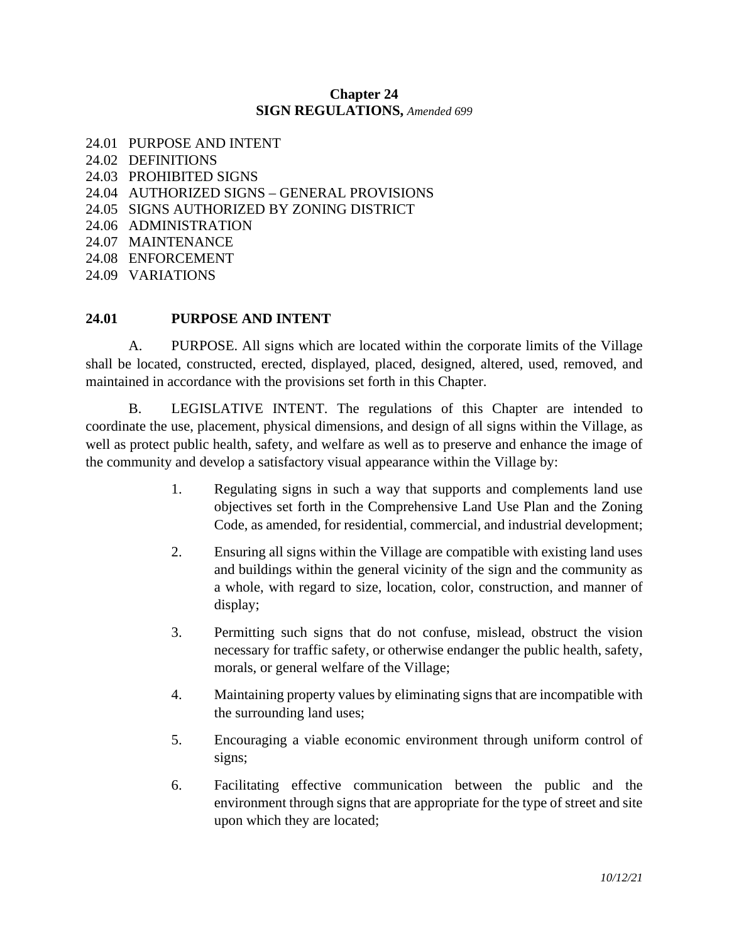#### **Chapter 24 SIGN REGULATIONS,** *Amended 699*

- 24.01 PURPOSE AND INTENT
- 24.02 DEFINITIONS
- 24.03 PROHIBITED SIGNS
- 24.04 AUTHORIZED SIGNS GENERAL PROVISIONS
- 24.05 SIGNS AUTHORIZED BY ZONING DISTRICT
- 24.06 ADMINISTRATION
- 24.07 MAINTENANCE
- 24.08 ENFORCEMENT
- 24.09 VARIATIONS

#### **24.01 PURPOSE AND INTENT**

A. PURPOSE. All signs which are located within the corporate limits of the Village shall be located, constructed, erected, displayed, placed, designed, altered, used, removed, and maintained in accordance with the provisions set forth in this Chapter.

B. LEGISLATIVE INTENT. The regulations of this Chapter are intended to coordinate the use, placement, physical dimensions, and design of all signs within the Village, as well as protect public health, safety, and welfare as well as to preserve and enhance the image of the community and develop a satisfactory visual appearance within the Village by:

- 1. Regulating signs in such a way that supports and complements land use objectives set forth in the Comprehensive Land Use Plan and the Zoning Code, as amended, for residential, commercial, and industrial development;
- 2. Ensuring all signs within the Village are compatible with existing land uses and buildings within the general vicinity of the sign and the community as a whole, with regard to size, location, color, construction, and manner of display;
- 3. Permitting such signs that do not confuse, mislead, obstruct the vision necessary for traffic safety, or otherwise endanger the public health, safety, morals, or general welfare of the Village;
- 4. Maintaining property values by eliminating signs that are incompatible with the surrounding land uses;
- 5. Encouraging a viable economic environment through uniform control of signs;
- 6. Facilitating effective communication between the public and the environment through signs that are appropriate for the type of street and site upon which they are located;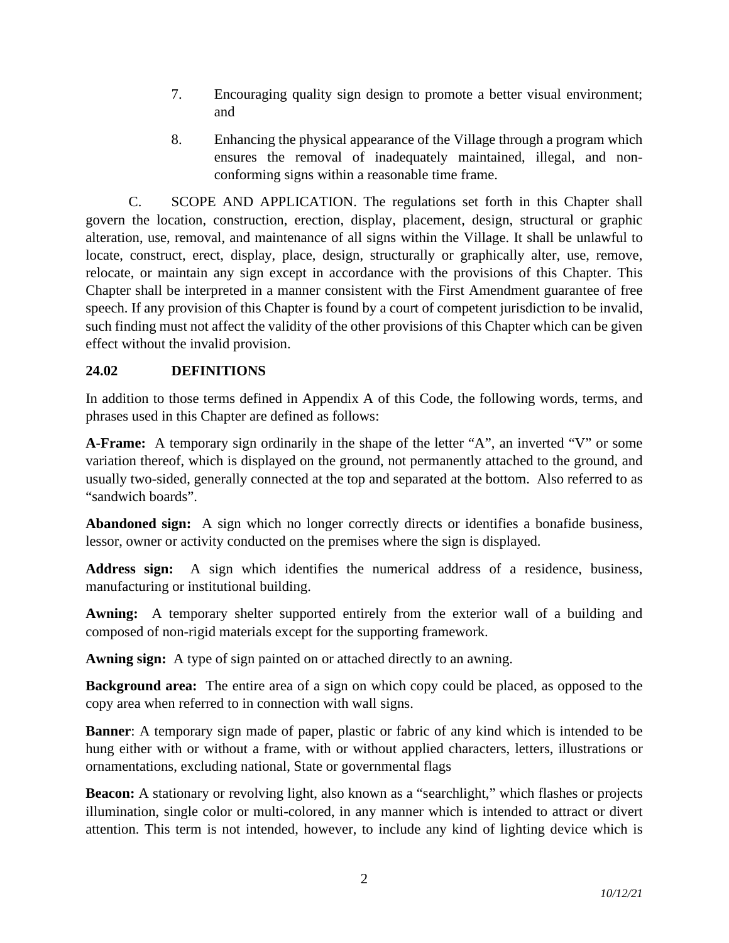- 7. Encouraging quality sign design to promote a better visual environment; and
- 8. Enhancing the physical appearance of the Village through a program which ensures the removal of inadequately maintained, illegal, and nonconforming signs within a reasonable time frame.

C. SCOPE AND APPLICATION. The regulations set forth in this Chapter shall govern the location, construction, erection, display, placement, design, structural or graphic alteration, use, removal, and maintenance of all signs within the Village. It shall be unlawful to locate, construct, erect, display, place, design, structurally or graphically alter, use, remove, relocate, or maintain any sign except in accordance with the provisions of this Chapter. This Chapter shall be interpreted in a manner consistent with the First Amendment guarantee of free speech. If any provision of this Chapter is found by a court of competent jurisdiction to be invalid, such finding must not affect the validity of the other provisions of this Chapter which can be given effect without the invalid provision.

# **24.02 DEFINITIONS**

In addition to those terms defined in Appendix A of this Code, the following words, terms, and phrases used in this Chapter are defined as follows:

**A-Frame:** A temporary sign ordinarily in the shape of the letter "A", an inverted "V" or some variation thereof, which is displayed on the ground, not permanently attached to the ground, and usually two-sided, generally connected at the top and separated at the bottom. Also referred to as "sandwich boards".

**Abandoned sign:** A sign which no longer correctly directs or identifies a bonafide business, lessor, owner or activity conducted on the premises where the sign is displayed.

**Address sign:** A sign which identifies the numerical address of a residence, business, manufacturing or institutional building.

**Awning:** A temporary shelter supported entirely from the exterior wall of a building and composed of non-rigid materials except for the supporting framework.

**Awning sign:** A type of sign painted on or attached directly to an awning.

**Background area:** The entire area of a sign on which copy could be placed, as opposed to the copy area when referred to in connection with wall signs.

**Banner**: A temporary sign made of paper, plastic or fabric of any kind which is intended to be hung either with or without a frame, with or without applied characters, letters, illustrations or ornamentations, excluding national, State or governmental flags

**Beacon:** A stationary or revolving light, also known as a "searchlight," which flashes or projects illumination, single color or multi-colored, in any manner which is intended to attract or divert attention. This term is not intended, however, to include any kind of lighting device which is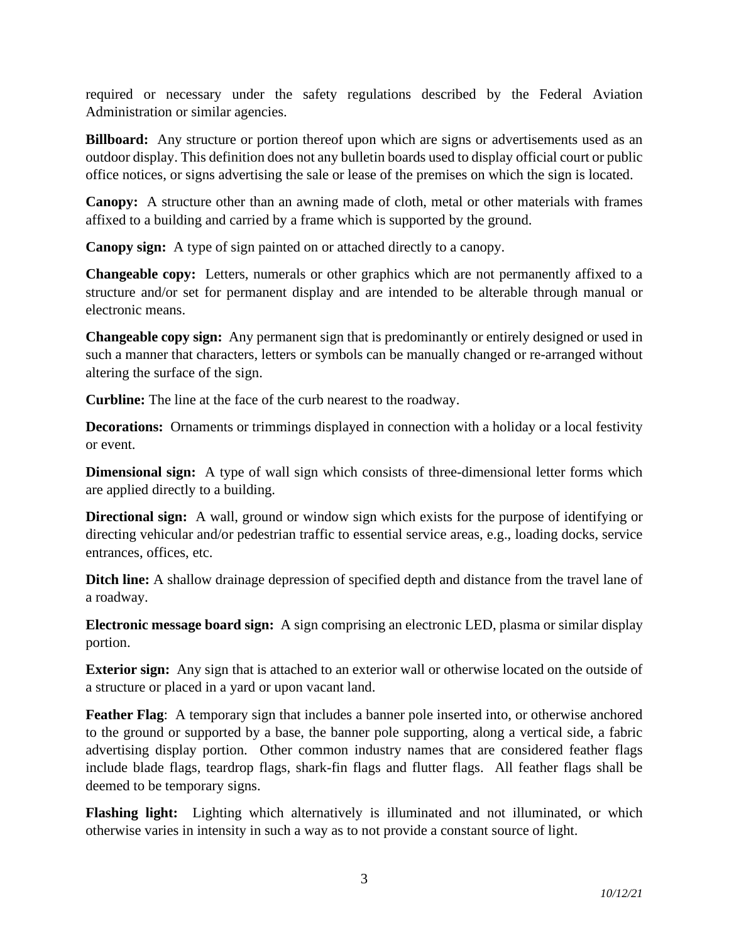required or necessary under the safety regulations described by the Federal Aviation Administration or similar agencies.

**Billboard:** Any structure or portion thereof upon which are signs or advertisements used as an outdoor display. This definition does not any bulletin boards used to display official court or public office notices, or signs advertising the sale or lease of the premises on which the sign is located.

**Canopy:** A structure other than an awning made of cloth, metal or other materials with frames affixed to a building and carried by a frame which is supported by the ground.

**Canopy sign:** A type of sign painted on or attached directly to a canopy.

**Changeable copy:** Letters, numerals or other graphics which are not permanently affixed to a structure and/or set for permanent display and are intended to be alterable through manual or electronic means.

**Changeable copy sign:** Any permanent sign that is predominantly or entirely designed or used in such a manner that characters, letters or symbols can be manually changed or re-arranged without altering the surface of the sign.

**Curbline:** The line at the face of the curb nearest to the roadway.

**Decorations:** Ornaments or trimmings displayed in connection with a holiday or a local festivity or event.

**Dimensional sign:** A type of wall sign which consists of three-dimensional letter forms which are applied directly to a building.

**Directional sign:** A wall, ground or window sign which exists for the purpose of identifying or directing vehicular and/or pedestrian traffic to essential service areas, e.g., loading docks, service entrances, offices, etc.

**Ditch line:** A shallow drainage depression of specified depth and distance from the travel lane of a roadway.

**Electronic message board sign:** A sign comprising an electronic LED, plasma or similar display portion.

**Exterior sign:** Any sign that is attached to an exterior wall or otherwise located on the outside of a structure or placed in a yard or upon vacant land.

**Feather Flag**: A temporary sign that includes a banner pole inserted into, or otherwise anchored to the ground or supported by a base, the banner pole supporting, along a vertical side, a fabric advertising display portion. Other common industry names that are considered feather flags include blade flags, teardrop flags, shark-fin flags and flutter flags. All feather flags shall be deemed to be temporary signs.

**Flashing light:** Lighting which alternatively is illuminated and not illuminated, or which otherwise varies in intensity in such a way as to not provide a constant source of light.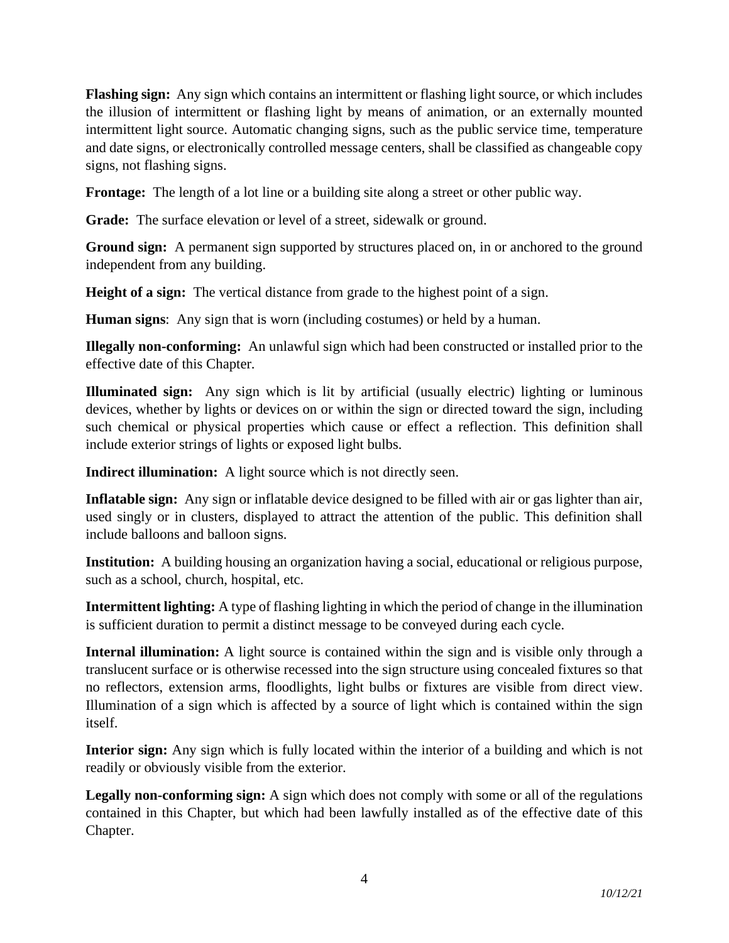**Flashing sign:** Any sign which contains an intermittent or flashing light source, or which includes the illusion of intermittent or flashing light by means of animation, or an externally mounted intermittent light source. Automatic changing signs, such as the public service time, temperature and date signs, or electronically controlled message centers, shall be classified as changeable copy signs, not flashing signs.

**Frontage:** The length of a lot line or a building site along a street or other public way.

**Grade:** The surface elevation or level of a street, sidewalk or ground.

**Ground sign:** A permanent sign supported by structures placed on, in or anchored to the ground independent from any building.

**Height of a sign:** The vertical distance from grade to the highest point of a sign.

**Human signs**: Any sign that is worn (including costumes) or held by a human.

**Illegally non-conforming:** An unlawful sign which had been constructed or installed prior to the effective date of this Chapter.

**Illuminated sign:** Any sign which is lit by artificial (usually electric) lighting or luminous devices, whether by lights or devices on or within the sign or directed toward the sign, including such chemical or physical properties which cause or effect a reflection. This definition shall include exterior strings of lights or exposed light bulbs.

**Indirect illumination:** A light source which is not directly seen.

**Inflatable sign:** Any sign or inflatable device designed to be filled with air or gas lighter than air, used singly or in clusters, displayed to attract the attention of the public. This definition shall include balloons and balloon signs.

**Institution:** A building housing an organization having a social, educational or religious purpose, such as a school, church, hospital, etc.

**Intermittent lighting:** A type of flashing lighting in which the period of change in the illumination is sufficient duration to permit a distinct message to be conveyed during each cycle.

**Internal illumination:** A light source is contained within the sign and is visible only through a translucent surface or is otherwise recessed into the sign structure using concealed fixtures so that no reflectors, extension arms, floodlights, light bulbs or fixtures are visible from direct view. Illumination of a sign which is affected by a source of light which is contained within the sign itself.

**Interior sign:** Any sign which is fully located within the interior of a building and which is not readily or obviously visible from the exterior.

**Legally non-conforming sign:** A sign which does not comply with some or all of the regulations contained in this Chapter, but which had been lawfully installed as of the effective date of this Chapter.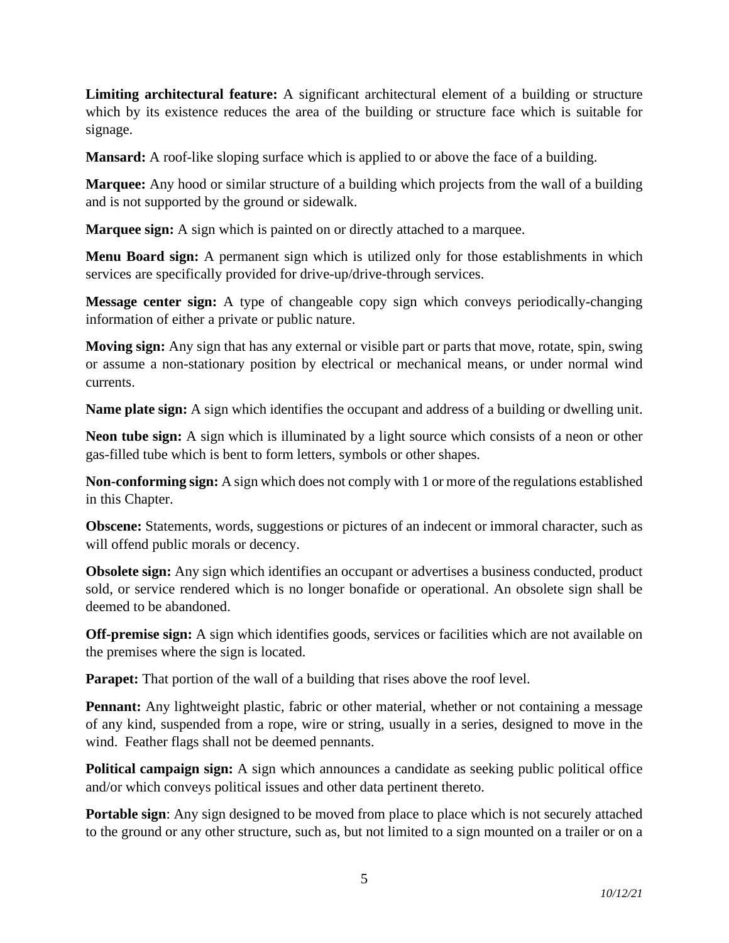**Limiting architectural feature:** A significant architectural element of a building or structure which by its existence reduces the area of the building or structure face which is suitable for signage.

**Mansard:** A roof-like sloping surface which is applied to or above the face of a building.

**Marquee:** Any hood or similar structure of a building which projects from the wall of a building and is not supported by the ground or sidewalk.

**Marquee sign:** A sign which is painted on or directly attached to a marquee.

**Menu Board sign:** A permanent sign which is utilized only for those establishments in which services are specifically provided for drive-up/drive-through services.

**Message center sign:** A type of changeable copy sign which conveys periodically-changing information of either a private or public nature.

**Moving sign:** Any sign that has any external or visible part or parts that move, rotate, spin, swing or assume a non-stationary position by electrical or mechanical means, or under normal wind currents.

**Name plate sign:** A sign which identifies the occupant and address of a building or dwelling unit.

**Neon tube sign:** A sign which is illuminated by a light source which consists of a neon or other gas-filled tube which is bent to form letters, symbols or other shapes.

**Non-conforming sign:** A sign which does not comply with 1 or more of the regulations established in this Chapter.

**Obscene:** Statements, words, suggestions or pictures of an indecent or immoral character, such as will offend public morals or decency.

**Obsolete sign:** Any sign which identifies an occupant or advertises a business conducted, product sold, or service rendered which is no longer bonafide or operational. An obsolete sign shall be deemed to be abandoned.

**Off-premise sign:** A sign which identifies goods, services or facilities which are not available on the premises where the sign is located.

**Parapet:** That portion of the wall of a building that rises above the roof level.

**Pennant:** Any lightweight plastic, fabric or other material, whether or not containing a message of any kind, suspended from a rope, wire or string, usually in a series, designed to move in the wind. Feather flags shall not be deemed pennants.

**Political campaign sign:** A sign which announces a candidate as seeking public political office and/or which conveys political issues and other data pertinent thereto.

**Portable sign**: Any sign designed to be moved from place to place which is not securely attached to the ground or any other structure, such as, but not limited to a sign mounted on a trailer or on a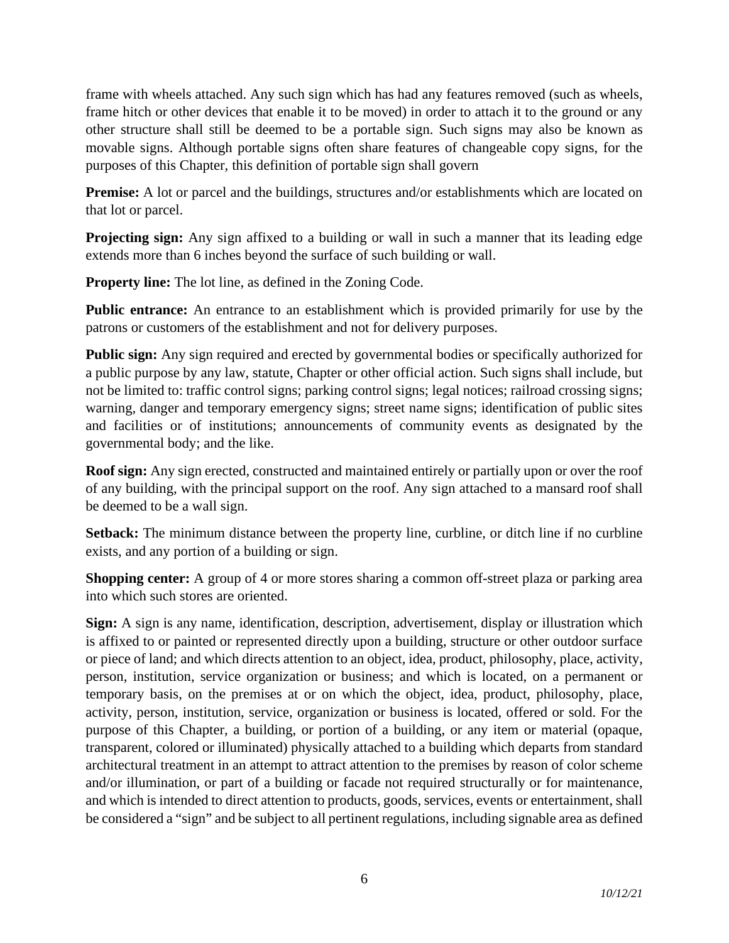frame with wheels attached. Any such sign which has had any features removed (such as wheels, frame hitch or other devices that enable it to be moved) in order to attach it to the ground or any other structure shall still be deemed to be a portable sign. Such signs may also be known as movable signs. Although portable signs often share features of changeable copy signs, for the purposes of this Chapter, this definition of portable sign shall govern

**Premise:** A lot or parcel and the buildings, structures and/or establishments which are located on that lot or parcel.

**Projecting sign:** Any sign affixed to a building or wall in such a manner that its leading edge extends more than 6 inches beyond the surface of such building or wall.

**Property line:** The lot line, as defined in the Zoning Code.

**Public entrance:** An entrance to an establishment which is provided primarily for use by the patrons or customers of the establishment and not for delivery purposes.

**Public sign:** Any sign required and erected by governmental bodies or specifically authorized for a public purpose by any law, statute, Chapter or other official action. Such signs shall include, but not be limited to: traffic control signs; parking control signs; legal notices; railroad crossing signs; warning, danger and temporary emergency signs; street name signs; identification of public sites and facilities or of institutions; announcements of community events as designated by the governmental body; and the like.

**Roof sign:** Any sign erected, constructed and maintained entirely or partially upon or over the roof of any building, with the principal support on the roof. Any sign attached to a mansard roof shall be deemed to be a wall sign.

**Setback:** The minimum distance between the property line, curbline, or ditch line if no curbline exists, and any portion of a building or sign.

**Shopping center:** A group of 4 or more stores sharing a common off-street plaza or parking area into which such stores are oriented.

**Sign:** A sign is any name, identification, description, advertisement, display or illustration which is affixed to or painted or represented directly upon a building, structure or other outdoor surface or piece of land; and which directs attention to an object, idea, product, philosophy, place, activity, person, institution, service organization or business; and which is located, on a permanent or temporary basis, on the premises at or on which the object, idea, product, philosophy, place, activity, person, institution, service, organization or business is located, offered or sold. For the purpose of this Chapter, a building, or portion of a building, or any item or material (opaque, transparent, colored or illuminated) physically attached to a building which departs from standard architectural treatment in an attempt to attract attention to the premises by reason of color scheme and/or illumination, or part of a building or facade not required structurally or for maintenance, and which is intended to direct attention to products, goods, services, events or entertainment, shall be considered a "sign" and be subject to all pertinent regulations, including signable area as defined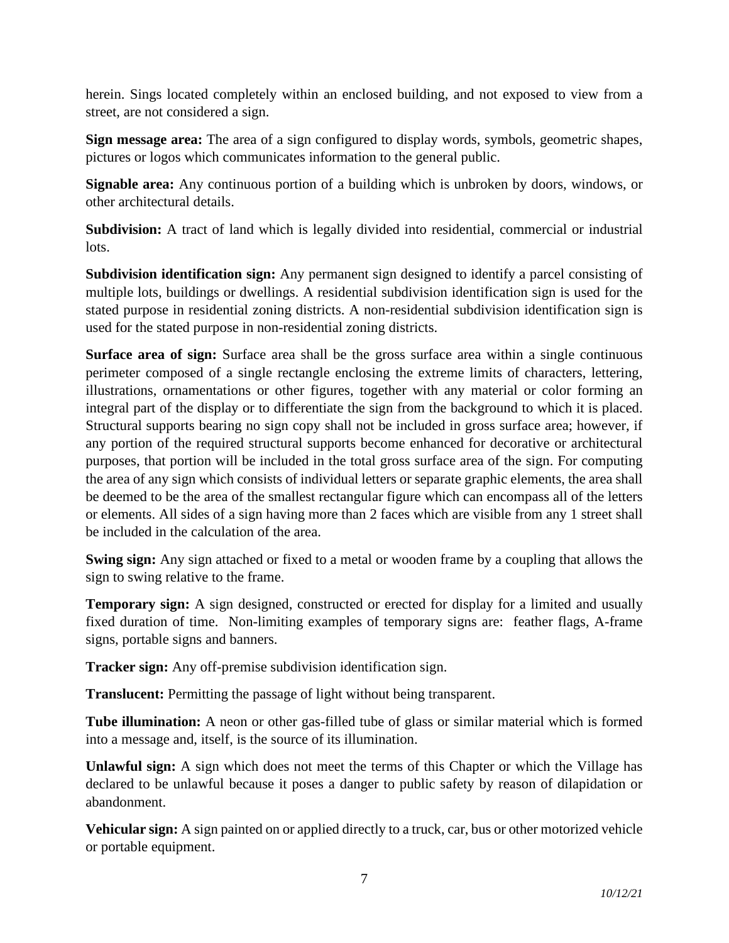herein. Sings located completely within an enclosed building, and not exposed to view from a street, are not considered a sign.

**Sign message area:** The area of a sign configured to display words, symbols, geometric shapes, pictures or logos which communicates information to the general public.

**Signable area:** Any continuous portion of a building which is unbroken by doors, windows, or other architectural details.

**Subdivision:** A tract of land which is legally divided into residential, commercial or industrial lots.

**Subdivision identification sign:** Any permanent sign designed to identify a parcel consisting of multiple lots, buildings or dwellings. A residential subdivision identification sign is used for the stated purpose in residential zoning districts. A non-residential subdivision identification sign is used for the stated purpose in non-residential zoning districts.

**Surface area of sign:** Surface area shall be the gross surface area within a single continuous perimeter composed of a single rectangle enclosing the extreme limits of characters, lettering, illustrations, ornamentations or other figures, together with any material or color forming an integral part of the display or to differentiate the sign from the background to which it is placed. Structural supports bearing no sign copy shall not be included in gross surface area; however, if any portion of the required structural supports become enhanced for decorative or architectural purposes, that portion will be included in the total gross surface area of the sign. For computing the area of any sign which consists of individual letters or separate graphic elements, the area shall be deemed to be the area of the smallest rectangular figure which can encompass all of the letters or elements. All sides of a sign having more than 2 faces which are visible from any 1 street shall be included in the calculation of the area.

**Swing sign:** Any sign attached or fixed to a metal or wooden frame by a coupling that allows the sign to swing relative to the frame.

**Temporary sign:** A sign designed, constructed or erected for display for a limited and usually fixed duration of time. Non-limiting examples of temporary signs are: feather flags, A-frame signs, portable signs and banners.

**Tracker sign:** Any off-premise subdivision identification sign.

**Translucent:** Permitting the passage of light without being transparent.

**Tube illumination:** A neon or other gas-filled tube of glass or similar material which is formed into a message and, itself, is the source of its illumination.

**Unlawful sign:** A sign which does not meet the terms of this Chapter or which the Village has declared to be unlawful because it poses a danger to public safety by reason of dilapidation or abandonment.

**Vehicular sign:** A sign painted on or applied directly to a truck, car, bus or other motorized vehicle or portable equipment.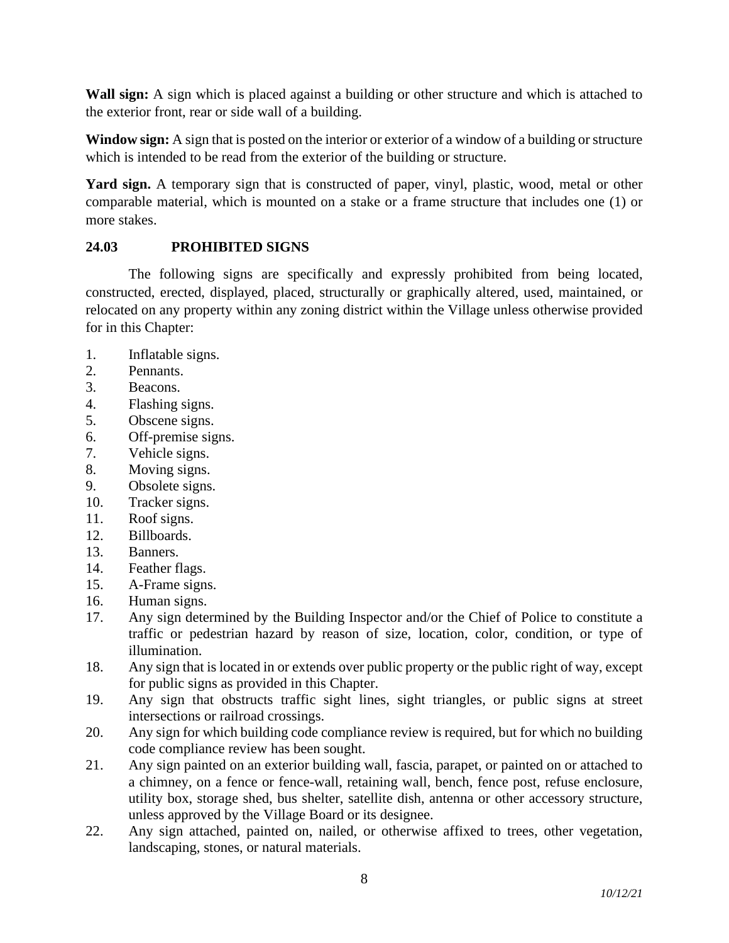**Wall sign:** A sign which is placed against a building or other structure and which is attached to the exterior front, rear or side wall of a building.

**Window sign:** A sign that is posted on the interior or exterior of a window of a building or structure which is intended to be read from the exterior of the building or structure.

**Yard sign.** A temporary sign that is constructed of paper, vinyl, plastic, wood, metal or other comparable material, which is mounted on a stake or a frame structure that includes one (1) or more stakes.

## **24.03 PROHIBITED SIGNS**

The following signs are specifically and expressly prohibited from being located, constructed, erected, displayed, placed, structurally or graphically altered, used, maintained, or relocated on any property within any zoning district within the Village unless otherwise provided for in this Chapter:

- 1. Inflatable signs.
- 2. Pennants.
- 3. Beacons.
- 4. Flashing signs.
- 5. Obscene signs.
- 6. Off-premise signs.
- 7. Vehicle signs.
- 8. Moving signs.
- 9. Obsolete signs.
- 10. Tracker signs.
- 11. Roof signs.
- 12. Billboards.
- 13. Banners.
- 14. Feather flags.
- 15. A-Frame signs.
- 16. Human signs.
- 17. Any sign determined by the Building Inspector and/or the Chief of Police to constitute a traffic or pedestrian hazard by reason of size, location, color, condition, or type of illumination.
- 18. Any sign that is located in or extends over public property or the public right of way, except for public signs as provided in this Chapter.
- 19. Any sign that obstructs traffic sight lines, sight triangles, or public signs at street intersections or railroad crossings.
- 20. Any sign for which building code compliance review is required, but for which no building code compliance review has been sought.
- 21. Any sign painted on an exterior building wall, fascia, parapet, or painted on or attached to a chimney, on a fence or fence-wall, retaining wall, bench, fence post, refuse enclosure, utility box, storage shed, bus shelter, satellite dish, antenna or other accessory structure, unless approved by the Village Board or its designee.
- 22. Any sign attached, painted on, nailed, or otherwise affixed to trees, other vegetation, landscaping, stones, or natural materials.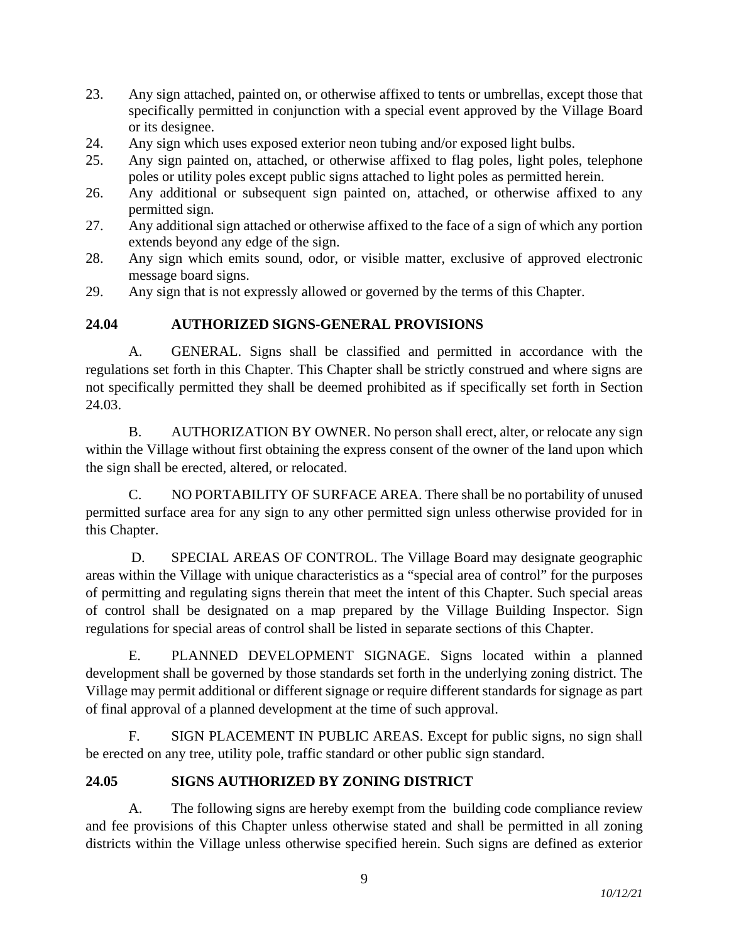- 23. Any sign attached, painted on, or otherwise affixed to tents or umbrellas, except those that specifically permitted in conjunction with a special event approved by the Village Board or its designee.
- 24. Any sign which uses exposed exterior neon tubing and/or exposed light bulbs.
- 25. Any sign painted on, attached, or otherwise affixed to flag poles, light poles, telephone poles or utility poles except public signs attached to light poles as permitted herein.
- 26. Any additional or subsequent sign painted on, attached, or otherwise affixed to any permitted sign.
- 27. Any additional sign attached or otherwise affixed to the face of a sign of which any portion extends beyond any edge of the sign.
- 28. Any sign which emits sound, odor, or visible matter, exclusive of approved electronic message board signs.
- 29. Any sign that is not expressly allowed or governed by the terms of this Chapter.

## **24.04 AUTHORIZED SIGNS-GENERAL PROVISIONS**

A. GENERAL. Signs shall be classified and permitted in accordance with the regulations set forth in this Chapter. This Chapter shall be strictly construed and where signs are not specifically permitted they shall be deemed prohibited as if specifically set forth in Section 24.03.

B. AUTHORIZATION BY OWNER. No person shall erect, alter, or relocate any sign within the Village without first obtaining the express consent of the owner of the land upon which the sign shall be erected, altered, or relocated.

C. NO PORTABILITY OF SURFACE AREA. There shall be no portability of unused permitted surface area for any sign to any other permitted sign unless otherwise provided for in this Chapter.

D. SPECIAL AREAS OF CONTROL. The Village Board may designate geographic areas within the Village with unique characteristics as a "special area of control" for the purposes of permitting and regulating signs therein that meet the intent of this Chapter. Such special areas of control shall be designated on a map prepared by the Village Building Inspector. Sign regulations for special areas of control shall be listed in separate sections of this Chapter.

E. PLANNED DEVELOPMENT SIGNAGE. Signs located within a planned development shall be governed by those standards set forth in the underlying zoning district. The Village may permit additional or different signage or require different standards for signage as part of final approval of a planned development at the time of such approval.

F. SIGN PLACEMENT IN PUBLIC AREAS. Except for public signs, no sign shall be erected on any tree, utility pole, traffic standard or other public sign standard.

### **24.05 SIGNS AUTHORIZED BY ZONING DISTRICT**

A. The following signs are hereby exempt from the building code compliance review and fee provisions of this Chapter unless otherwise stated and shall be permitted in all zoning districts within the Village unless otherwise specified herein. Such signs are defined as exterior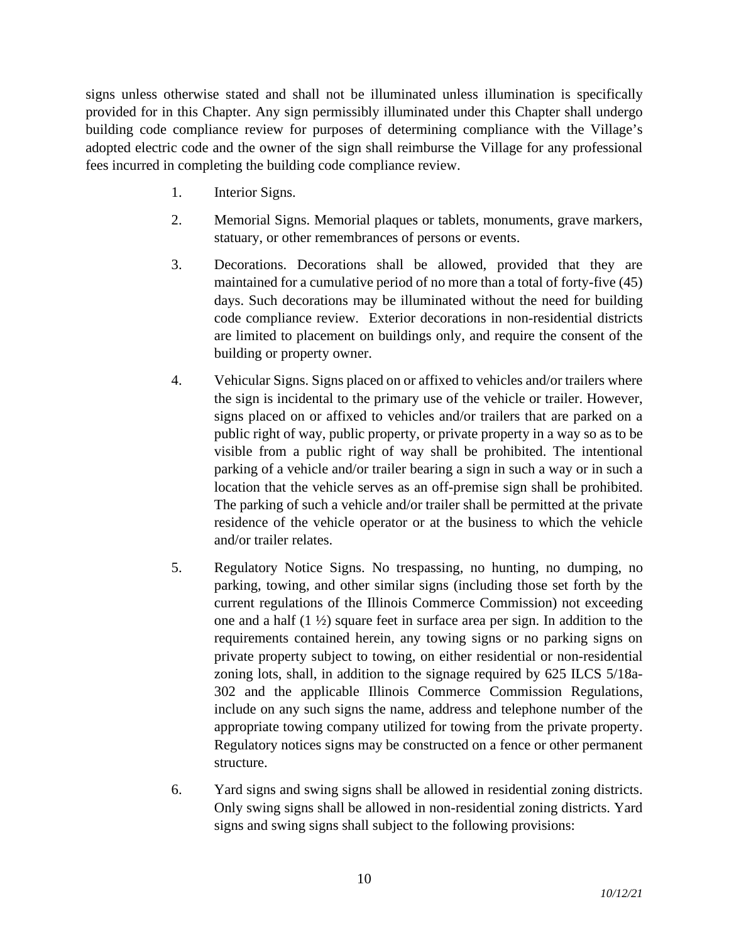signs unless otherwise stated and shall not be illuminated unless illumination is specifically provided for in this Chapter. Any sign permissibly illuminated under this Chapter shall undergo building code compliance review for purposes of determining compliance with the Village's adopted electric code and the owner of the sign shall reimburse the Village for any professional fees incurred in completing the building code compliance review.

- 1. Interior Signs.
- 2. Memorial Signs. Memorial plaques or tablets, monuments, grave markers, statuary, or other remembrances of persons or events.
- 3. Decorations. Decorations shall be allowed, provided that they are maintained for a cumulative period of no more than a total of forty-five (45) days. Such decorations may be illuminated without the need for building code compliance review. Exterior decorations in non-residential districts are limited to placement on buildings only, and require the consent of the building or property owner.
- 4. Vehicular Signs. Signs placed on or affixed to vehicles and/or trailers where the sign is incidental to the primary use of the vehicle or trailer. However, signs placed on or affixed to vehicles and/or trailers that are parked on a public right of way, public property, or private property in a way so as to be visible from a public right of way shall be prohibited. The intentional parking of a vehicle and/or trailer bearing a sign in such a way or in such a location that the vehicle serves as an off-premise sign shall be prohibited. The parking of such a vehicle and/or trailer shall be permitted at the private residence of the vehicle operator or at the business to which the vehicle and/or trailer relates.
- 5. Regulatory Notice Signs. No trespassing, no hunting, no dumping, no parking, towing, and other similar signs (including those set forth by the current regulations of the Illinois Commerce Commission) not exceeding one and a half (1 ½) square feet in surface area per sign. In addition to the requirements contained herein, any towing signs or no parking signs on private property subject to towing, on either residential or non-residential zoning lots, shall, in addition to the signage required by 625 ILCS 5/18a-302 and the applicable Illinois Commerce Commission Regulations, include on any such signs the name, address and telephone number of the appropriate towing company utilized for towing from the private property. Regulatory notices signs may be constructed on a fence or other permanent structure.
- 6. Yard signs and swing signs shall be allowed in residential zoning districts. Only swing signs shall be allowed in non-residential zoning districts. Yard signs and swing signs shall subject to the following provisions: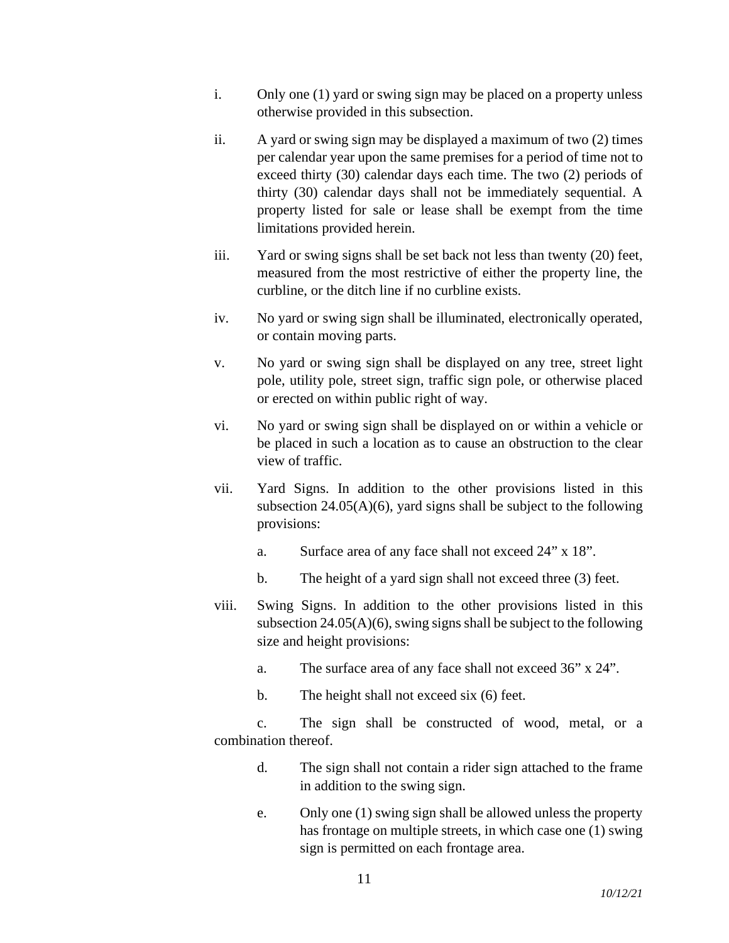- i. Only one (1) yard or swing sign may be placed on a property unless otherwise provided in this subsection.
- ii. A yard or swing sign may be displayed a maximum of two (2) times per calendar year upon the same premises for a period of time not to exceed thirty (30) calendar days each time. The two (2) periods of thirty (30) calendar days shall not be immediately sequential. A property listed for sale or lease shall be exempt from the time limitations provided herein.
- iii. Yard or swing signs shall be set back not less than twenty (20) feet, measured from the most restrictive of either the property line, the curbline, or the ditch line if no curbline exists.
- iv. No yard or swing sign shall be illuminated, electronically operated, or contain moving parts.
- v. No yard or swing sign shall be displayed on any tree, street light pole, utility pole, street sign, traffic sign pole, or otherwise placed or erected on within public right of way.
- vi. No yard or swing sign shall be displayed on or within a vehicle or be placed in such a location as to cause an obstruction to the clear view of traffic.
- vii. Yard Signs. In addition to the other provisions listed in this subsection  $24.05(A)(6)$ , yard signs shall be subject to the following provisions:
	- a. Surface area of any face shall not exceed 24" x 18".
	- b. The height of a yard sign shall not exceed three (3) feet.
- viii. Swing Signs. In addition to the other provisions listed in this subsection  $24.05(A)(6)$ , swing signs shall be subject to the following size and height provisions:
	- a. The surface area of any face shall not exceed 36" x 24".
	- b. The height shall not exceed six (6) feet.

c. The sign shall be constructed of wood, metal, or a combination thereof.

- d. The sign shall not contain a rider sign attached to the frame in addition to the swing sign.
- e. Only one (1) swing sign shall be allowed unless the property has frontage on multiple streets, in which case one (1) swing sign is permitted on each frontage area.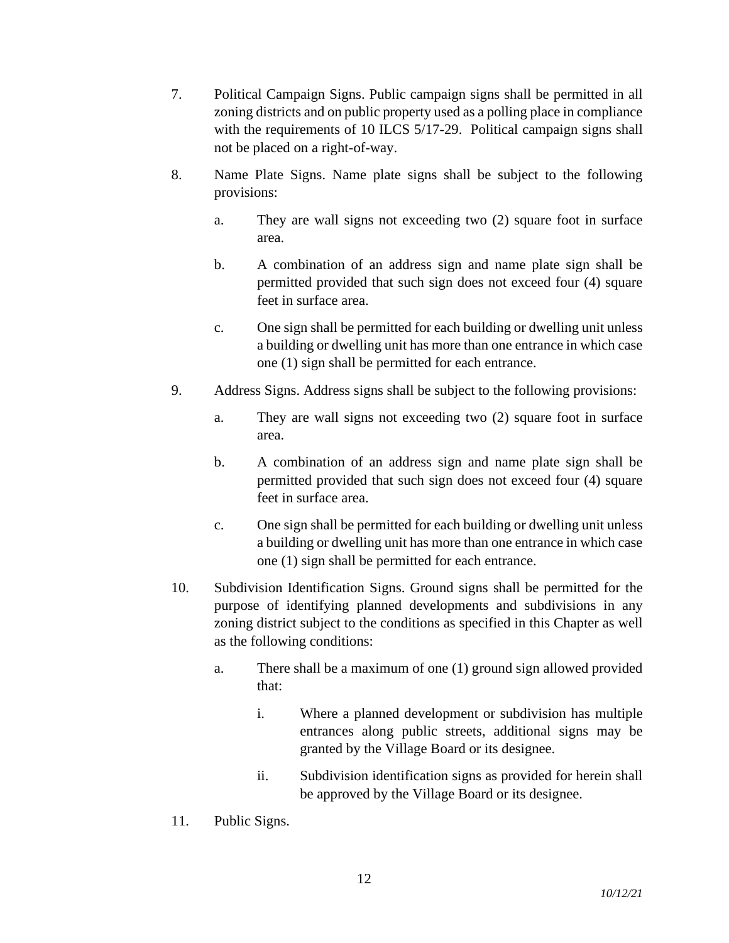- 7. Political Campaign Signs. Public campaign signs shall be permitted in all zoning districts and on public property used as a polling place in compliance with the requirements of 10 ILCS 5/17-29. Political campaign signs shall not be placed on a right-of-way.
- 8. Name Plate Signs. Name plate signs shall be subject to the following provisions:
	- a. They are wall signs not exceeding two (2) square foot in surface area.
	- b. A combination of an address sign and name plate sign shall be permitted provided that such sign does not exceed four (4) square feet in surface area.
	- c. One sign shall be permitted for each building or dwelling unit unless a building or dwelling unit has more than one entrance in which case one (1) sign shall be permitted for each entrance.
- 9. Address Signs. Address signs shall be subject to the following provisions:
	- a. They are wall signs not exceeding two (2) square foot in surface area.
	- b. A combination of an address sign and name plate sign shall be permitted provided that such sign does not exceed four (4) square feet in surface area.
	- c. One sign shall be permitted for each building or dwelling unit unless a building or dwelling unit has more than one entrance in which case one (1) sign shall be permitted for each entrance.
- 10. Subdivision Identification Signs. Ground signs shall be permitted for the purpose of identifying planned developments and subdivisions in any zoning district subject to the conditions as specified in this Chapter as well as the following conditions:

12

- a. There shall be a maximum of one (1) ground sign allowed provided that:
	- i. Where a planned development or subdivision has multiple entrances along public streets, additional signs may be granted by the Village Board or its designee.
	- ii. Subdivision identification signs as provided for herein shall be approved by the Village Board or its designee.
- 11. Public Signs.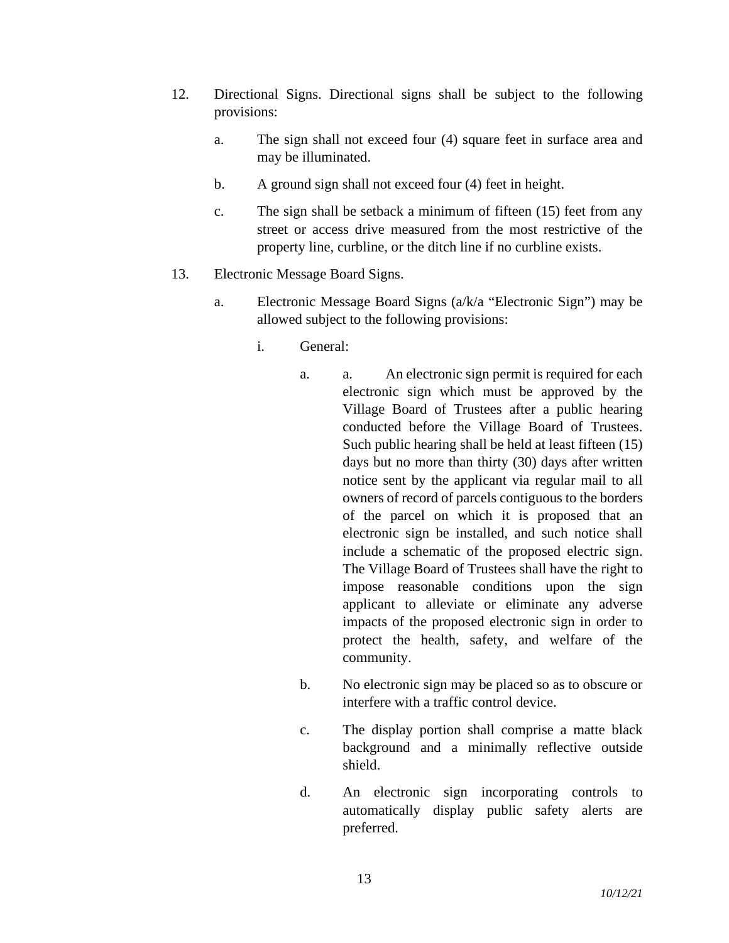- 12. Directional Signs. Directional signs shall be subject to the following provisions:
	- a. The sign shall not exceed four (4) square feet in surface area and may be illuminated.
	- b. A ground sign shall not exceed four (4) feet in height.
	- c. The sign shall be setback a minimum of fifteen (15) feet from any street or access drive measured from the most restrictive of the property line, curbline, or the ditch line if no curbline exists.
- 13. Electronic Message Board Signs.
	- a. Electronic Message Board Signs (a/k/a "Electronic Sign") may be allowed subject to the following provisions:
		- i. General:
			- a. a. An electronic sign permit is required for each electronic sign which must be approved by the Village Board of Trustees after a public hearing conducted before the Village Board of Trustees. Such public hearing shall be held at least fifteen (15) days but no more than thirty (30) days after written notice sent by the applicant via regular mail to all owners of record of parcels contiguous to the borders of the parcel on which it is proposed that an electronic sign be installed, and such notice shall include a schematic of the proposed electric sign. The Village Board of Trustees shall have the right to impose reasonable conditions upon the sign applicant to alleviate or eliminate any adverse impacts of the proposed electronic sign in order to protect the health, safety, and welfare of the community.
			- b. No electronic sign may be placed so as to obscure or interfere with a traffic control device.
			- c. The display portion shall comprise a matte black background and a minimally reflective outside shield.
			- d. An electronic sign incorporating controls to automatically display public safety alerts are preferred.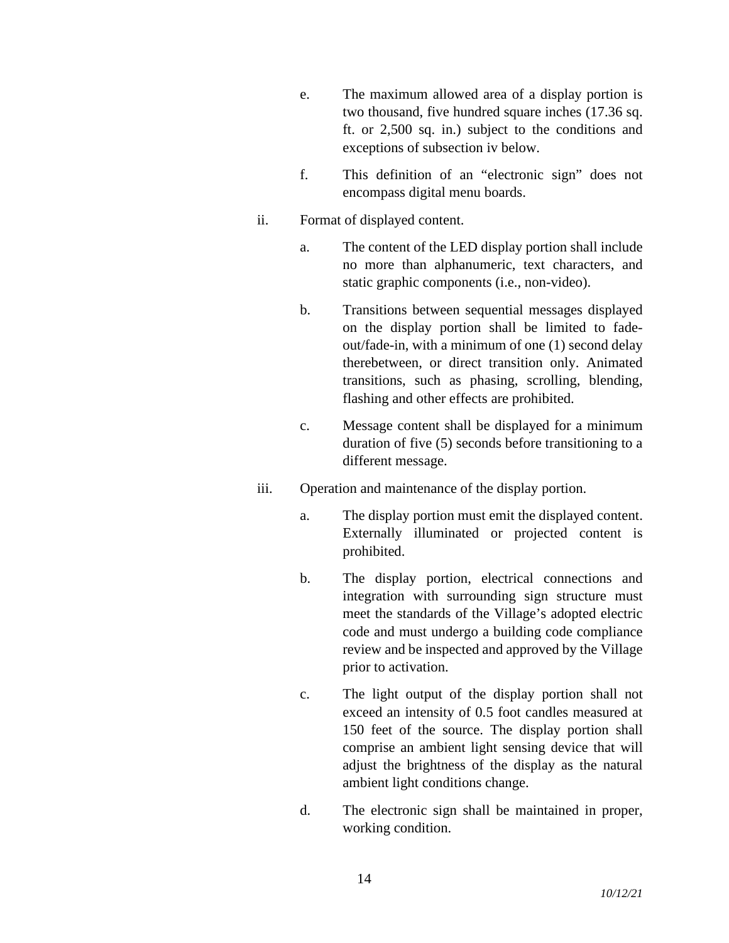- e. The maximum allowed area of a display portion is two thousand, five hundred square inches (17.36 sq. ft. or 2,500 sq. in.) subject to the conditions and exceptions of subsection iv below.
- f. This definition of an "electronic sign" does not encompass digital menu boards.
- ii. Format of displayed content.
	- a. The content of the LED display portion shall include no more than alphanumeric, text characters, and static graphic components (i.e., non-video).
	- b. Transitions between sequential messages displayed on the display portion shall be limited to fadeout/fade-in, with a minimum of one (1) second delay therebetween, or direct transition only. Animated transitions, such as phasing, scrolling, blending, flashing and other effects are prohibited.
	- c. Message content shall be displayed for a minimum duration of five (5) seconds before transitioning to a different message.
- iii. Operation and maintenance of the display portion.
	- a. The display portion must emit the displayed content. Externally illuminated or projected content is prohibited.
	- b. The display portion, electrical connections and integration with surrounding sign structure must meet the standards of the Village's adopted electric code and must undergo a building code compliance review and be inspected and approved by the Village prior to activation.
	- c. The light output of the display portion shall not exceed an intensity of 0.5 foot candles measured at 150 feet of the source. The display portion shall comprise an ambient light sensing device that will adjust the brightness of the display as the natural ambient light conditions change.
	- d. The electronic sign shall be maintained in proper, working condition.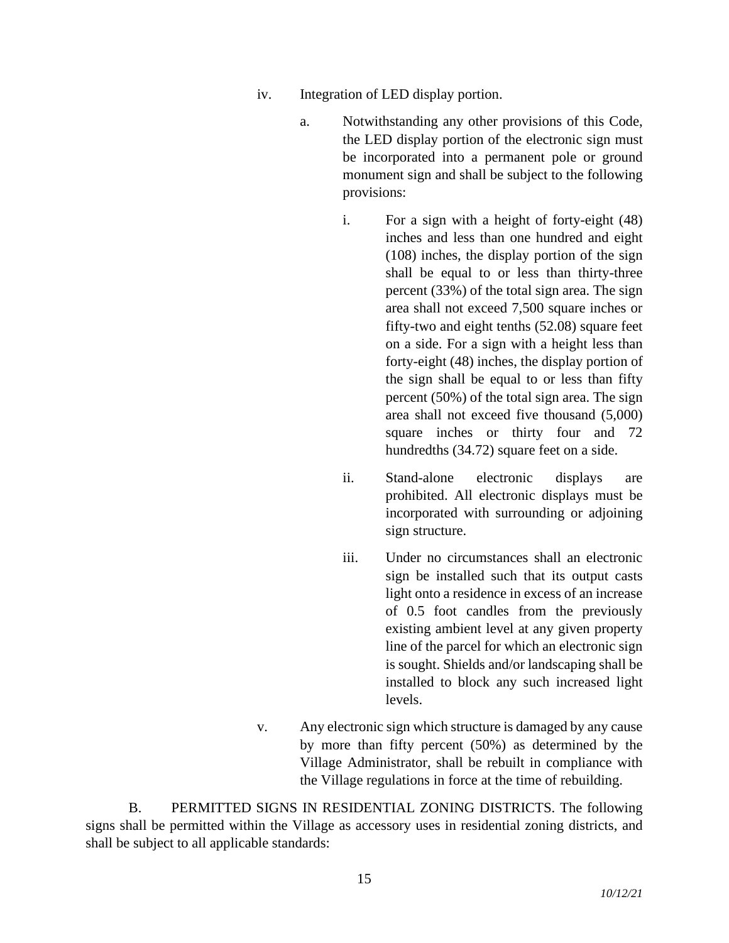- iv. Integration of LED display portion.
	- a. Notwithstanding any other provisions of this Code, the LED display portion of the electronic sign must be incorporated into a permanent pole or ground monument sign and shall be subject to the following provisions:
		- i. For a sign with a height of forty-eight (48) inches and less than one hundred and eight (108) inches, the display portion of the sign shall be equal to or less than thirty-three percent (33%) of the total sign area. The sign area shall not exceed 7,500 square inches or fifty-two and eight tenths (52.08) square feet on a side. For a sign with a height less than forty-eight (48) inches, the display portion of the sign shall be equal to or less than fifty percent (50%) of the total sign area. The sign area shall not exceed five thousand (5,000) square inches or thirty four and 72 hundredths (34.72) square feet on a side.
		- ii. Stand-alone electronic displays are prohibited. All electronic displays must be incorporated with surrounding or adjoining sign structure.
		- iii. Under no circumstances shall an electronic sign be installed such that its output casts light onto a residence in excess of an increase of 0.5 foot candles from the previously existing ambient level at any given property line of the parcel for which an electronic sign is sought. Shields and/or landscaping shall be installed to block any such increased light levels.
- v. Any electronic sign which structure is damaged by any cause by more than fifty percent (50%) as determined by the Village Administrator, shall be rebuilt in compliance with the Village regulations in force at the time of rebuilding.

B. PERMITTED SIGNS IN RESIDENTIAL ZONING DISTRICTS. The following signs shall be permitted within the Village as accessory uses in residential zoning districts, and shall be subject to all applicable standards: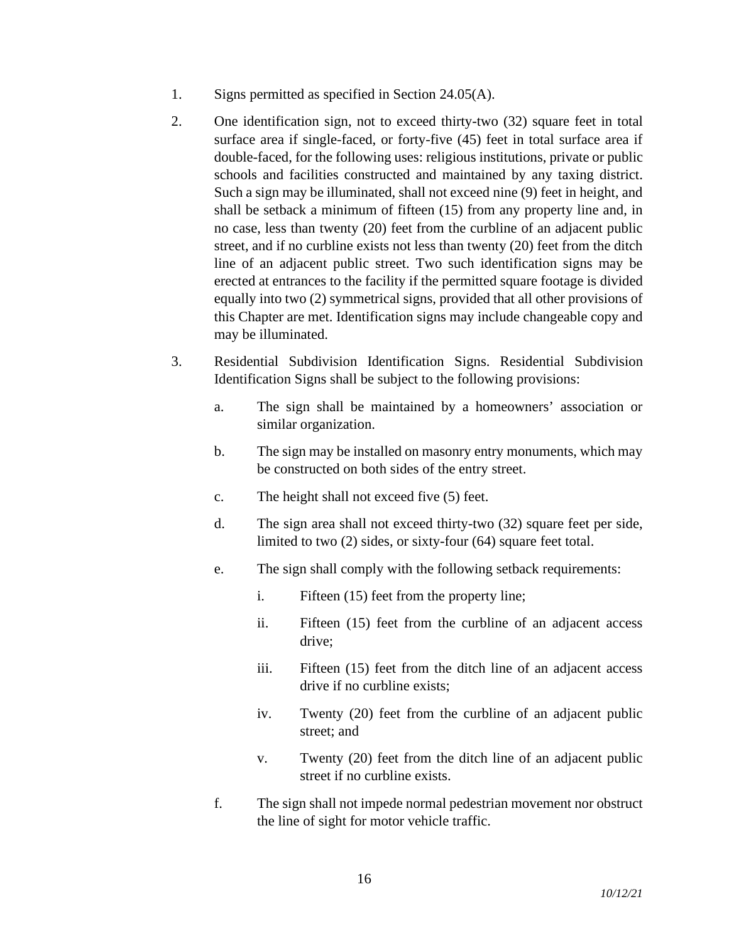- 1. Signs permitted as specified in Section 24.05(A).
- 2. One identification sign, not to exceed thirty-two (32) square feet in total surface area if single-faced, or forty-five (45) feet in total surface area if double-faced, for the following uses: religious institutions, private or public schools and facilities constructed and maintained by any taxing district. Such a sign may be illuminated, shall not exceed nine (9) feet in height, and shall be setback a minimum of fifteen (15) from any property line and, in no case, less than twenty (20) feet from the curbline of an adjacent public street, and if no curbline exists not less than twenty (20) feet from the ditch line of an adjacent public street. Two such identification signs may be erected at entrances to the facility if the permitted square footage is divided equally into two (2) symmetrical signs, provided that all other provisions of this Chapter are met. Identification signs may include changeable copy and may be illuminated.
- 3. Residential Subdivision Identification Signs. Residential Subdivision Identification Signs shall be subject to the following provisions:
	- a. The sign shall be maintained by a homeowners' association or similar organization.
	- b. The sign may be installed on masonry entry monuments, which may be constructed on both sides of the entry street.
	- c. The height shall not exceed five (5) feet.
	- d. The sign area shall not exceed thirty-two (32) square feet per side, limited to two (2) sides, or sixty-four (64) square feet total.
	- e. The sign shall comply with the following setback requirements:
		- i. Fifteen (15) feet from the property line;
		- ii. Fifteen (15) feet from the curbline of an adjacent access drive;
		- iii. Fifteen (15) feet from the ditch line of an adjacent access drive if no curbline exists;
		- iv. Twenty (20) feet from the curbline of an adjacent public street; and
		- v. Twenty (20) feet from the ditch line of an adjacent public street if no curbline exists.
	- f. The sign shall not impede normal pedestrian movement nor obstruct the line of sight for motor vehicle traffic.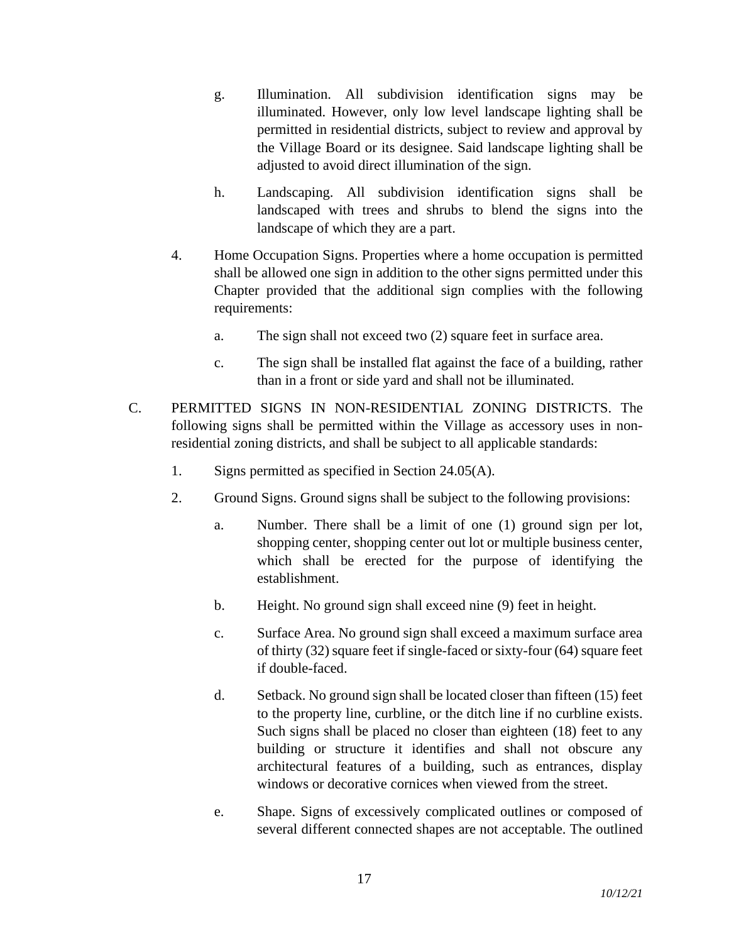- g. Illumination. All subdivision identification signs may be illuminated. However, only low level landscape lighting shall be permitted in residential districts, subject to review and approval by the Village Board or its designee. Said landscape lighting shall be adjusted to avoid direct illumination of the sign.
- h. Landscaping. All subdivision identification signs shall be landscaped with trees and shrubs to blend the signs into the landscape of which they are a part.
- 4. Home Occupation Signs. Properties where a home occupation is permitted shall be allowed one sign in addition to the other signs permitted under this Chapter provided that the additional sign complies with the following requirements:
	- a. The sign shall not exceed two (2) square feet in surface area.
	- c. The sign shall be installed flat against the face of a building, rather than in a front or side yard and shall not be illuminated.
- C. PERMITTED SIGNS IN NON-RESIDENTIAL ZONING DISTRICTS. The following signs shall be permitted within the Village as accessory uses in nonresidential zoning districts, and shall be subject to all applicable standards:
	- 1. Signs permitted as specified in Section 24.05(A).
	- 2. Ground Signs. Ground signs shall be subject to the following provisions:
		- a. Number. There shall be a limit of one (1) ground sign per lot, shopping center, shopping center out lot or multiple business center, which shall be erected for the purpose of identifying the establishment.
		- b. Height. No ground sign shall exceed nine (9) feet in height.
		- c. Surface Area. No ground sign shall exceed a maximum surface area of thirty (32) square feet if single-faced or sixty-four (64) square feet if double-faced.
		- d. Setback. No ground sign shall be located closer than fifteen (15) feet to the property line, curbline, or the ditch line if no curbline exists. Such signs shall be placed no closer than eighteen (18) feet to any building or structure it identifies and shall not obscure any architectural features of a building, such as entrances, display windows or decorative cornices when viewed from the street.
		- e. Shape. Signs of excessively complicated outlines or composed of several different connected shapes are not acceptable. The outlined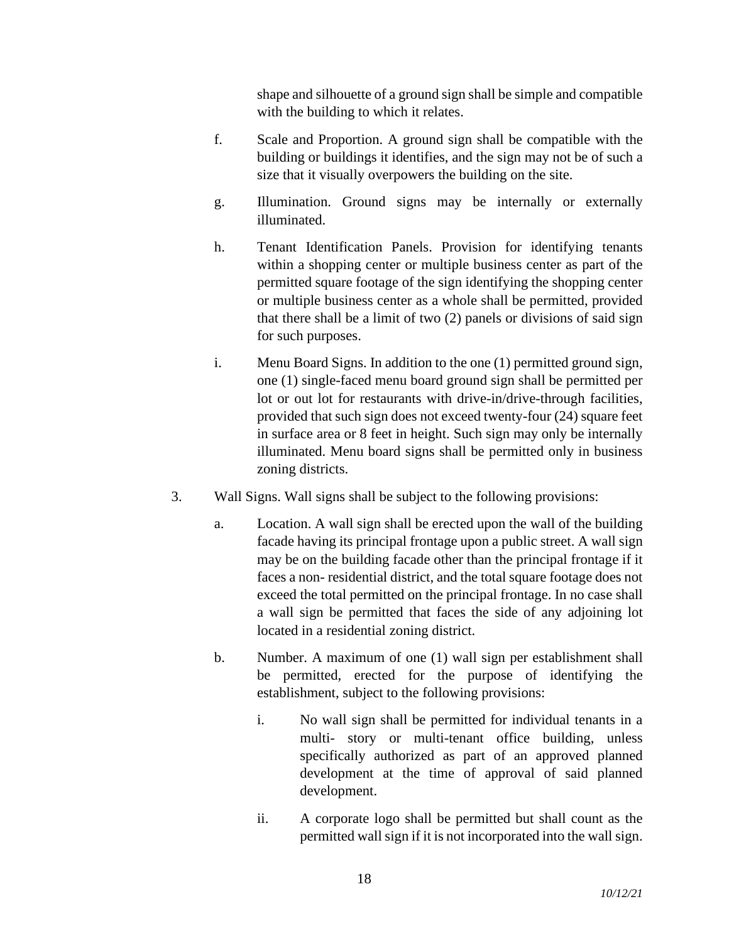shape and silhouette of a ground sign shall be simple and compatible with the building to which it relates.

- f. Scale and Proportion. A ground sign shall be compatible with the building or buildings it identifies, and the sign may not be of such a size that it visually overpowers the building on the site.
- g. Illumination. Ground signs may be internally or externally illuminated.
- h. Tenant Identification Panels. Provision for identifying tenants within a shopping center or multiple business center as part of the permitted square footage of the sign identifying the shopping center or multiple business center as a whole shall be permitted, provided that there shall be a limit of two (2) panels or divisions of said sign for such purposes.
- i. Menu Board Signs. In addition to the one (1) permitted ground sign, one (1) single-faced menu board ground sign shall be permitted per lot or out lot for restaurants with drive-in/drive-through facilities, provided that such sign does not exceed twenty-four (24) square feet in surface area or 8 feet in height. Such sign may only be internally illuminated. Menu board signs shall be permitted only in business zoning districts.
- 3. Wall Signs. Wall signs shall be subject to the following provisions:
	- a. Location. A wall sign shall be erected upon the wall of the building facade having its principal frontage upon a public street. A wall sign may be on the building facade other than the principal frontage if it faces a non- residential district, and the total square footage does not exceed the total permitted on the principal frontage. In no case shall a wall sign be permitted that faces the side of any adjoining lot located in a residential zoning district.
	- b. Number. A maximum of one (1) wall sign per establishment shall be permitted, erected for the purpose of identifying the establishment, subject to the following provisions:
		- i. No wall sign shall be permitted for individual tenants in a multi- story or multi-tenant office building, unless specifically authorized as part of an approved planned development at the time of approval of said planned development.
		- ii. A corporate logo shall be permitted but shall count as the permitted wall sign if it is not incorporated into the wall sign.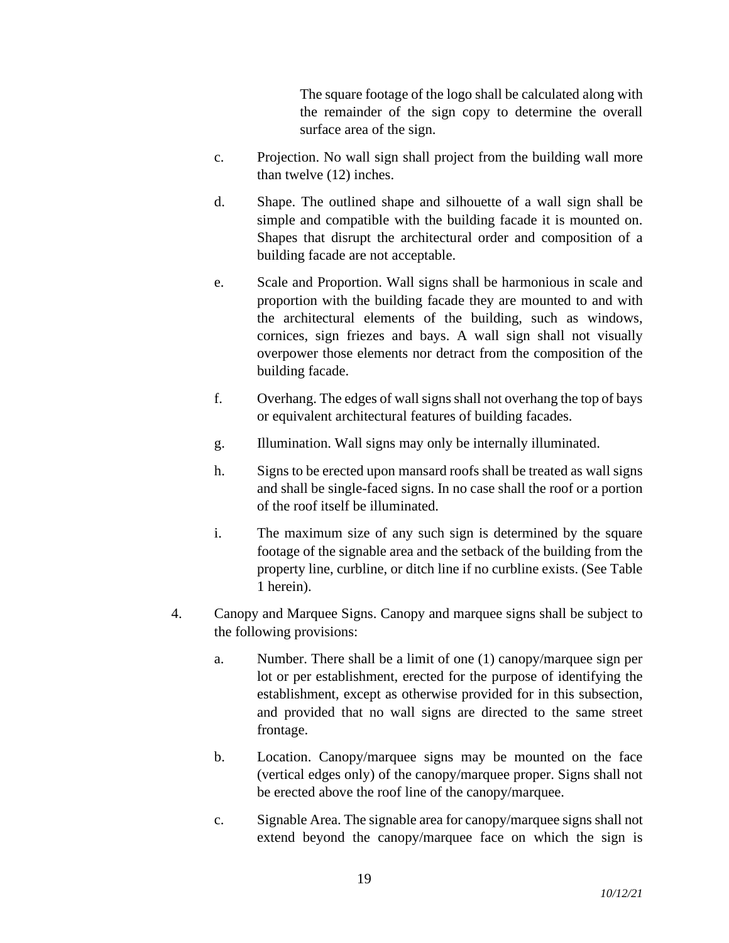The square footage of the logo shall be calculated along with the remainder of the sign copy to determine the overall surface area of the sign.

- c. Projection. No wall sign shall project from the building wall more than twelve (12) inches.
- d. Shape. The outlined shape and silhouette of a wall sign shall be simple and compatible with the building facade it is mounted on. Shapes that disrupt the architectural order and composition of a building facade are not acceptable.
- e. Scale and Proportion. Wall signs shall be harmonious in scale and proportion with the building facade they are mounted to and with the architectural elements of the building, such as windows, cornices, sign friezes and bays. A wall sign shall not visually overpower those elements nor detract from the composition of the building facade.
- f. Overhang. The edges of wall signs shall not overhang the top of bays or equivalent architectural features of building facades.
- g. Illumination. Wall signs may only be internally illuminated.
- h. Signs to be erected upon mansard roofs shall be treated as wall signs and shall be single-faced signs. In no case shall the roof or a portion of the roof itself be illuminated.
- i. The maximum size of any such sign is determined by the square footage of the signable area and the setback of the building from the property line, curbline, or ditch line if no curbline exists. (See Table 1 herein).
- 4. Canopy and Marquee Signs. Canopy and marquee signs shall be subject to the following provisions:
	- a. Number. There shall be a limit of one (1) canopy/marquee sign per lot or per establishment, erected for the purpose of identifying the establishment, except as otherwise provided for in this subsection, and provided that no wall signs are directed to the same street frontage.
	- b. Location. Canopy/marquee signs may be mounted on the face (vertical edges only) of the canopy/marquee proper. Signs shall not be erected above the roof line of the canopy/marquee.
	- c. Signable Area. The signable area for canopy/marquee signs shall not extend beyond the canopy/marquee face on which the sign is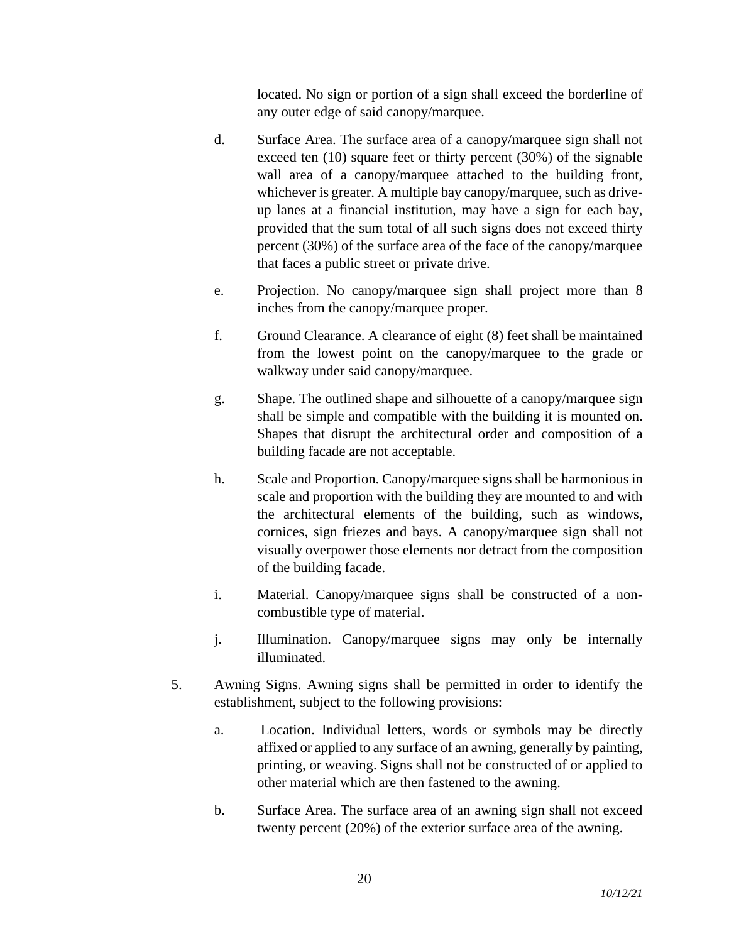located. No sign or portion of a sign shall exceed the borderline of any outer edge of said canopy/marquee.

- d. Surface Area. The surface area of a canopy/marquee sign shall not exceed ten (10) square feet or thirty percent (30%) of the signable wall area of a canopy/marquee attached to the building front, whichever is greater. A multiple bay canopy/marquee, such as driveup lanes at a financial institution, may have a sign for each bay, provided that the sum total of all such signs does not exceed thirty percent (30%) of the surface area of the face of the canopy/marquee that faces a public street or private drive.
- e. Projection. No canopy/marquee sign shall project more than 8 inches from the canopy/marquee proper.
- f. Ground Clearance. A clearance of eight (8) feet shall be maintained from the lowest point on the canopy/marquee to the grade or walkway under said canopy/marquee.
- g. Shape. The outlined shape and silhouette of a canopy/marquee sign shall be simple and compatible with the building it is mounted on. Shapes that disrupt the architectural order and composition of a building facade are not acceptable.
- h. Scale and Proportion. Canopy/marquee signs shall be harmonious in scale and proportion with the building they are mounted to and with the architectural elements of the building, such as windows, cornices, sign friezes and bays. A canopy/marquee sign shall not visually overpower those elements nor detract from the composition of the building facade.
- i. Material. Canopy/marquee signs shall be constructed of a noncombustible type of material.
- j. Illumination. Canopy/marquee signs may only be internally illuminated.
- 5. Awning Signs. Awning signs shall be permitted in order to identify the establishment, subject to the following provisions:
	- a. Location. Individual letters, words or symbols may be directly affixed or applied to any surface of an awning, generally by painting, printing, or weaving. Signs shall not be constructed of or applied to other material which are then fastened to the awning.
	- b. Surface Area. The surface area of an awning sign shall not exceed twenty percent (20%) of the exterior surface area of the awning.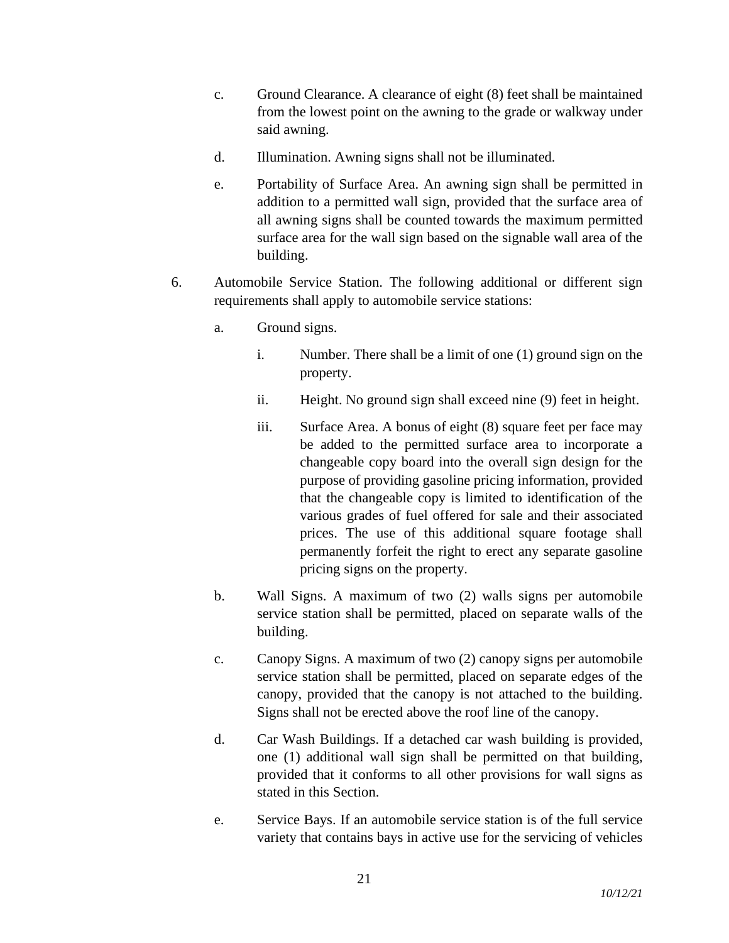- c. Ground Clearance. A clearance of eight (8) feet shall be maintained from the lowest point on the awning to the grade or walkway under said awning.
- d. Illumination. Awning signs shall not be illuminated.
- e. Portability of Surface Area. An awning sign shall be permitted in addition to a permitted wall sign, provided that the surface area of all awning signs shall be counted towards the maximum permitted surface area for the wall sign based on the signable wall area of the building.
- 6. Automobile Service Station. The following additional or different sign requirements shall apply to automobile service stations:
	- a. Ground signs.
		- i. Number. There shall be a limit of one (1) ground sign on the property.
		- ii. Height. No ground sign shall exceed nine (9) feet in height.
		- iii. Surface Area. A bonus of eight (8) square feet per face may be added to the permitted surface area to incorporate a changeable copy board into the overall sign design for the purpose of providing gasoline pricing information, provided that the changeable copy is limited to identification of the various grades of fuel offered for sale and their associated prices. The use of this additional square footage shall permanently forfeit the right to erect any separate gasoline pricing signs on the property.
	- b. Wall Signs. A maximum of two (2) walls signs per automobile service station shall be permitted, placed on separate walls of the building.
	- c. Canopy Signs. A maximum of two (2) canopy signs per automobile service station shall be permitted, placed on separate edges of the canopy, provided that the canopy is not attached to the building. Signs shall not be erected above the roof line of the canopy.
	- d. Car Wash Buildings. If a detached car wash building is provided, one (1) additional wall sign shall be permitted on that building, provided that it conforms to all other provisions for wall signs as stated in this Section.
	- e. Service Bays. If an automobile service station is of the full service variety that contains bays in active use for the servicing of vehicles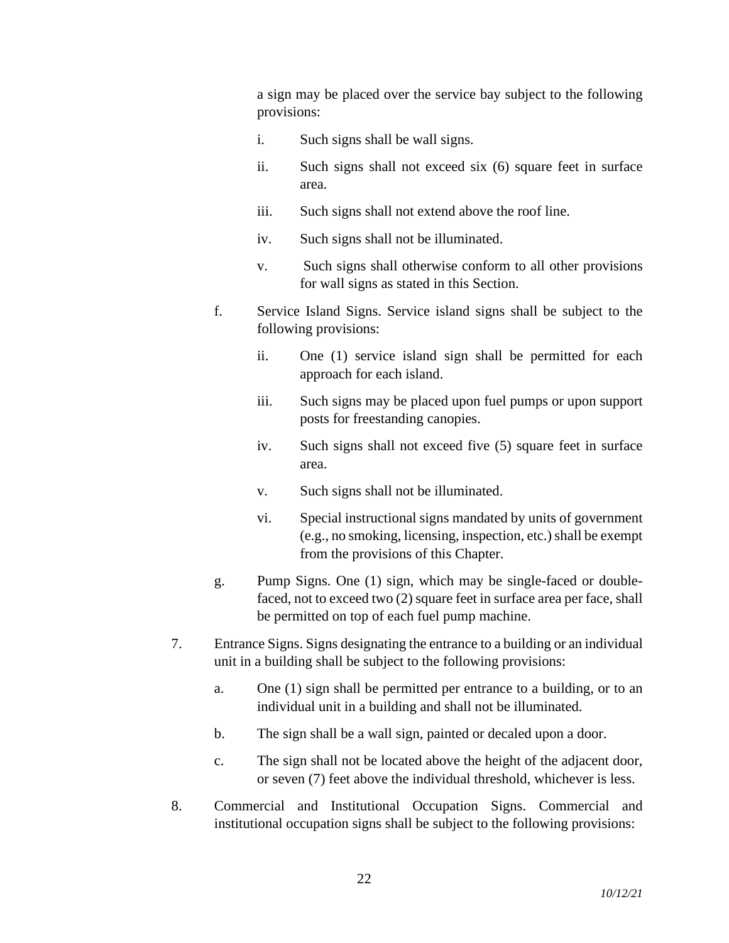a sign may be placed over the service bay subject to the following provisions:

- i. Such signs shall be wall signs.
- ii. Such signs shall not exceed six (6) square feet in surface area.
- iii. Such signs shall not extend above the roof line.
- iv. Such signs shall not be illuminated.
- v. Such signs shall otherwise conform to all other provisions for wall signs as stated in this Section.
- f. Service Island Signs. Service island signs shall be subject to the following provisions:
	- ii. One (1) service island sign shall be permitted for each approach for each island.
	- iii. Such signs may be placed upon fuel pumps or upon support posts for freestanding canopies.
	- iv. Such signs shall not exceed five (5) square feet in surface area.
	- v. Such signs shall not be illuminated.
	- vi. Special instructional signs mandated by units of government (e.g., no smoking, licensing, inspection, etc.) shall be exempt from the provisions of this Chapter.
- g. Pump Signs. One (1) sign, which may be single-faced or doublefaced, not to exceed two (2) square feet in surface area per face, shall be permitted on top of each fuel pump machine.
- 7. Entrance Signs. Signs designating the entrance to a building or an individual unit in a building shall be subject to the following provisions:
	- a. One (1) sign shall be permitted per entrance to a building, or to an individual unit in a building and shall not be illuminated.
	- b. The sign shall be a wall sign, painted or decaled upon a door.
	- c. The sign shall not be located above the height of the adjacent door, or seven (7) feet above the individual threshold, whichever is less.
- 8. Commercial and Institutional Occupation Signs. Commercial and institutional occupation signs shall be subject to the following provisions: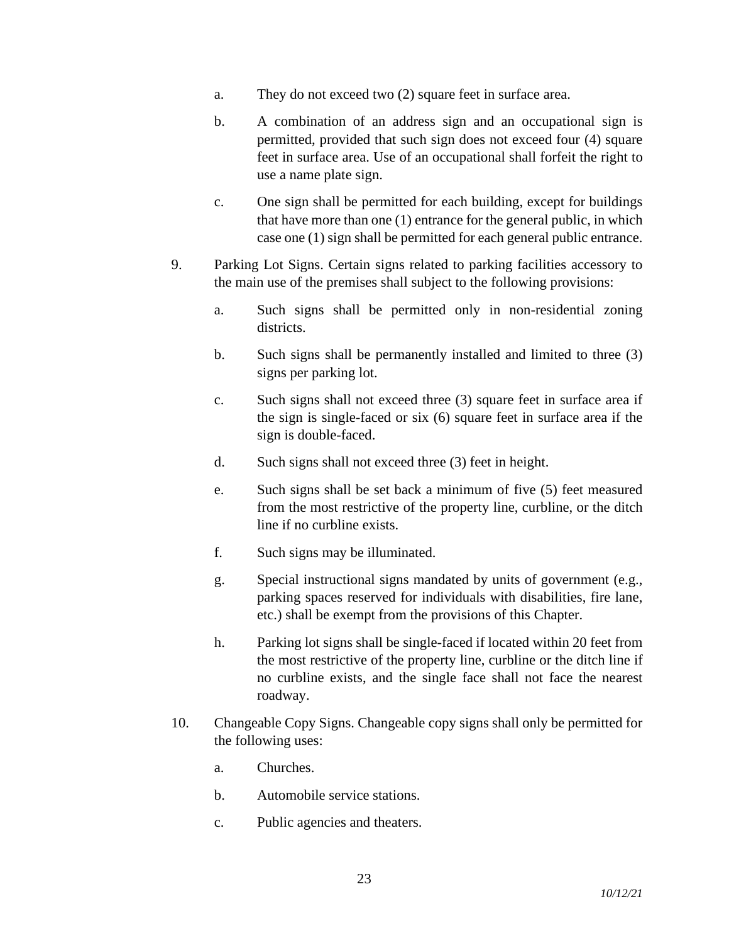- a. They do not exceed two (2) square feet in surface area.
- b. A combination of an address sign and an occupational sign is permitted, provided that such sign does not exceed four (4) square feet in surface area. Use of an occupational shall forfeit the right to use a name plate sign.
- c. One sign shall be permitted for each building, except for buildings that have more than one (1) entrance for the general public, in which case one (1) sign shall be permitted for each general public entrance.
- 9. Parking Lot Signs. Certain signs related to parking facilities accessory to the main use of the premises shall subject to the following provisions:
	- a. Such signs shall be permitted only in non-residential zoning districts.
	- b. Such signs shall be permanently installed and limited to three (3) signs per parking lot.
	- c. Such signs shall not exceed three (3) square feet in surface area if the sign is single-faced or six (6) square feet in surface area if the sign is double-faced.
	- d. Such signs shall not exceed three (3) feet in height.
	- e. Such signs shall be set back a minimum of five (5) feet measured from the most restrictive of the property line, curbline, or the ditch line if no curbline exists.
	- f. Such signs may be illuminated.
	- g. Special instructional signs mandated by units of government (e.g., parking spaces reserved for individuals with disabilities, fire lane, etc.) shall be exempt from the provisions of this Chapter.
	- h. Parking lot signs shall be single-faced if located within 20 feet from the most restrictive of the property line, curbline or the ditch line if no curbline exists, and the single face shall not face the nearest roadway.
- 10. Changeable Copy Signs. Changeable copy signs shall only be permitted for the following uses:
	- a. Churches.
	- b. Automobile service stations.
	- c. Public agencies and theaters.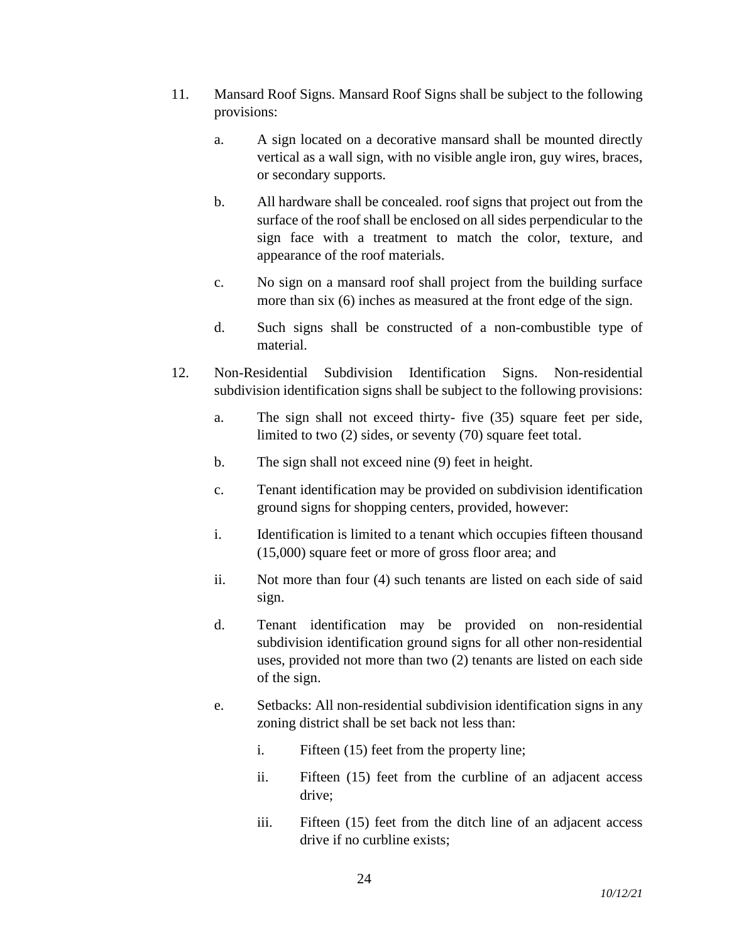- 11. Mansard Roof Signs. Mansard Roof Signs shall be subject to the following provisions:
	- a. A sign located on a decorative mansard shall be mounted directly vertical as a wall sign, with no visible angle iron, guy wires, braces, or secondary supports.
	- b. All hardware shall be concealed. roof signs that project out from the surface of the roof shall be enclosed on all sides perpendicular to the sign face with a treatment to match the color, texture, and appearance of the roof materials.
	- c. No sign on a mansard roof shall project from the building surface more than six (6) inches as measured at the front edge of the sign.
	- d. Such signs shall be constructed of a non-combustible type of material.
- 12. Non-Residential Subdivision Identification Signs. Non-residential subdivision identification signs shall be subject to the following provisions:
	- a. The sign shall not exceed thirty- five (35) square feet per side, limited to two (2) sides, or seventy (70) square feet total.
	- b. The sign shall not exceed nine (9) feet in height.
	- c. Tenant identification may be provided on subdivision identification ground signs for shopping centers, provided, however:
	- i. Identification is limited to a tenant which occupies fifteen thousand (15,000) square feet or more of gross floor area; and
	- ii. Not more than four (4) such tenants are listed on each side of said sign.
	- d. Tenant identification may be provided on non-residential subdivision identification ground signs for all other non-residential uses, provided not more than two (2) tenants are listed on each side of the sign.
	- e. Setbacks: All non-residential subdivision identification signs in any zoning district shall be set back not less than:
		- i. Fifteen (15) feet from the property line;
		- ii. Fifteen (15) feet from the curbline of an adjacent access drive;
		- iii. Fifteen (15) feet from the ditch line of an adjacent access drive if no curbline exists;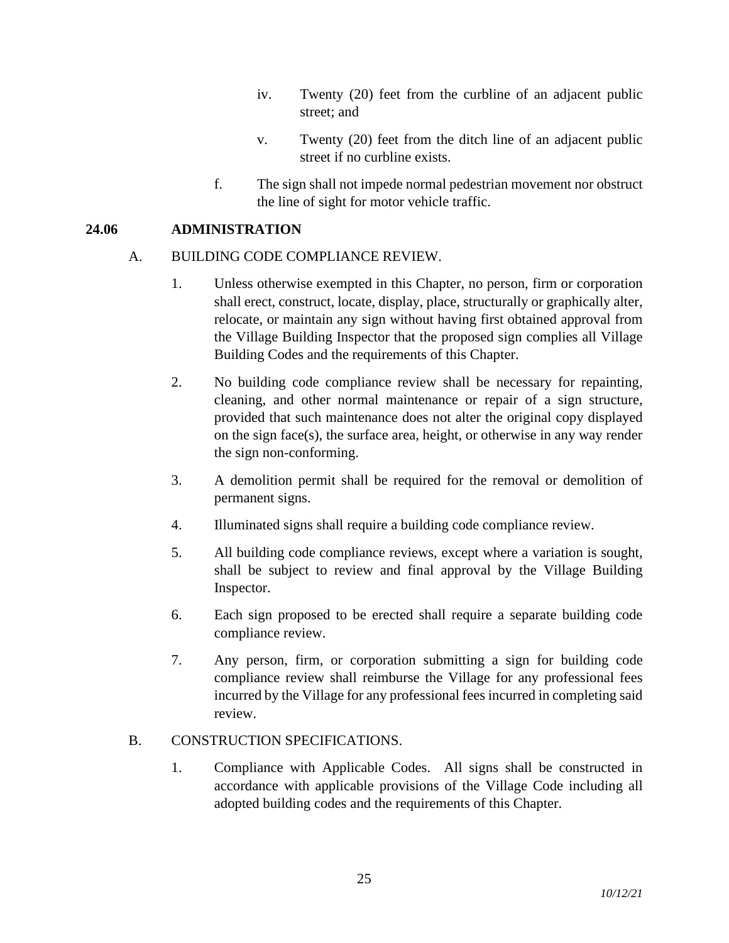- iv. Twenty (20) feet from the curbline of an adjacent public street; and
- v. Twenty (20) feet from the ditch line of an adjacent public street if no curbline exists.
- f. The sign shall not impede normal pedestrian movement nor obstruct the line of sight for motor vehicle traffic.

### **24.06 ADMINISTRATION**

## A. BUILDING CODE COMPLIANCE REVIEW.

- 1. Unless otherwise exempted in this Chapter, no person, firm or corporation shall erect, construct, locate, display, place, structurally or graphically alter, relocate, or maintain any sign without having first obtained approval from the Village Building Inspector that the proposed sign complies all Village Building Codes and the requirements of this Chapter.
- 2. No building code compliance review shall be necessary for repainting, cleaning, and other normal maintenance or repair of a sign structure, provided that such maintenance does not alter the original copy displayed on the sign face(s), the surface area, height, or otherwise in any way render the sign non-conforming.
- 3. A demolition permit shall be required for the removal or demolition of permanent signs.
- 4. Illuminated signs shall require a building code compliance review.
- 5. All building code compliance reviews, except where a variation is sought, shall be subject to review and final approval by the Village Building Inspector.
- 6. Each sign proposed to be erected shall require a separate building code compliance review.
- 7. Any person, firm, or corporation submitting a sign for building code compliance review shall reimburse the Village for any professional fees incurred by the Village for any professional fees incurred in completing said review.

### B. CONSTRUCTION SPECIFICATIONS.

1. Compliance with Applicable Codes. All signs shall be constructed in accordance with applicable provisions of the Village Code including all adopted building codes and the requirements of this Chapter.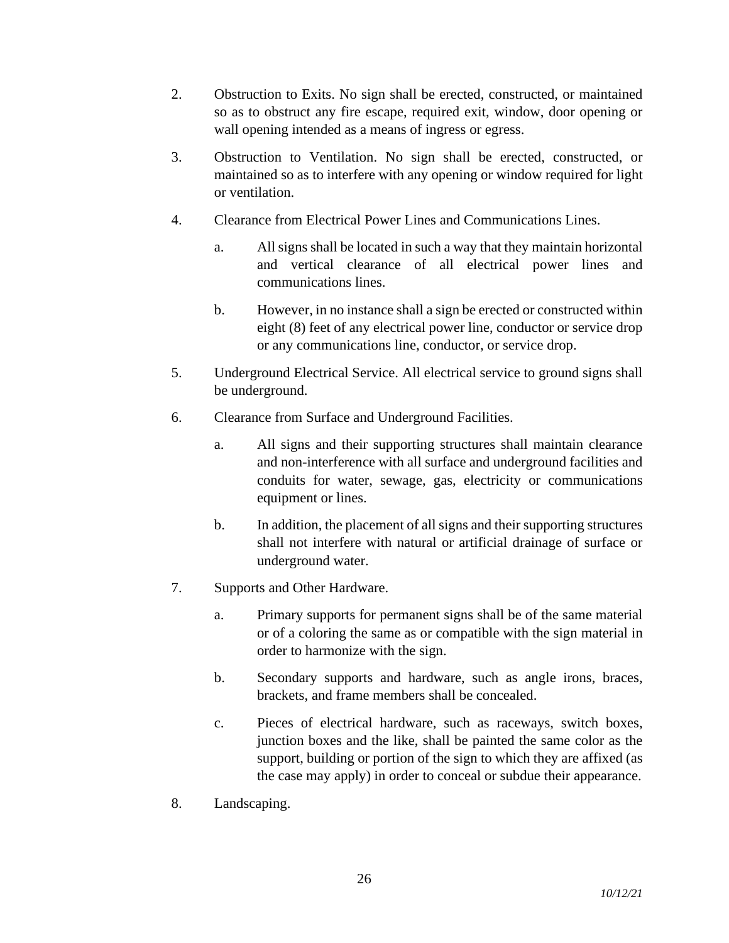- 2. Obstruction to Exits. No sign shall be erected, constructed, or maintained so as to obstruct any fire escape, required exit, window, door opening or wall opening intended as a means of ingress or egress.
- 3. Obstruction to Ventilation. No sign shall be erected, constructed, or maintained so as to interfere with any opening or window required for light or ventilation.
- 4. Clearance from Electrical Power Lines and Communications Lines.
	- a. All signs shall be located in such a way that they maintain horizontal and vertical clearance of all electrical power lines and communications lines.
	- b. However, in no instance shall a sign be erected or constructed within eight (8) feet of any electrical power line, conductor or service drop or any communications line, conductor, or service drop.
- 5. Underground Electrical Service. All electrical service to ground signs shall be underground.
- 6. Clearance from Surface and Underground Facilities.
	- a. All signs and their supporting structures shall maintain clearance and non-interference with all surface and underground facilities and conduits for water, sewage, gas, electricity or communications equipment or lines.
	- b. In addition, the placement of all signs and their supporting structures shall not interfere with natural or artificial drainage of surface or underground water.
- 7. Supports and Other Hardware.
	- a. Primary supports for permanent signs shall be of the same material or of a coloring the same as or compatible with the sign material in order to harmonize with the sign.
	- b. Secondary supports and hardware, such as angle irons, braces, brackets, and frame members shall be concealed.
	- c. Pieces of electrical hardware, such as raceways, switch boxes, junction boxes and the like, shall be painted the same color as the support, building or portion of the sign to which they are affixed (as the case may apply) in order to conceal or subdue their appearance.
- 8. Landscaping.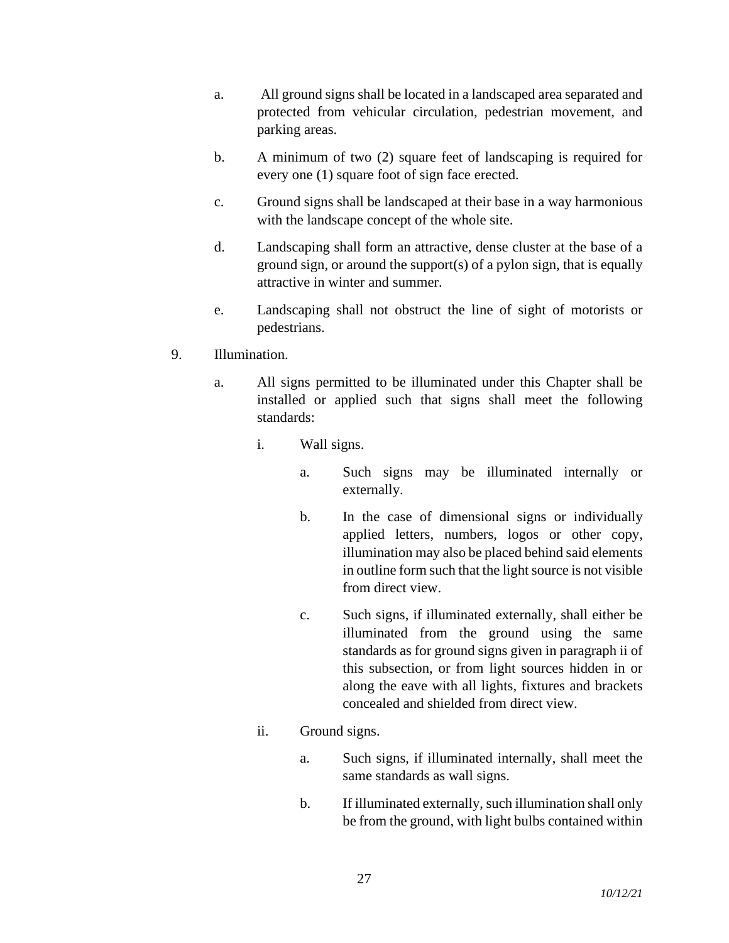- a. All ground signs shall be located in a landscaped area separated and protected from vehicular circulation, pedestrian movement, and parking areas.
- b. A minimum of two (2) square feet of landscaping is required for every one (1) square foot of sign face erected.
- c. Ground signs shall be landscaped at their base in a way harmonious with the landscape concept of the whole site.
- d. Landscaping shall form an attractive, dense cluster at the base of a ground sign, or around the support(s) of a pylon sign, that is equally attractive in winter and summer.
- e. Landscaping shall not obstruct the line of sight of motorists or pedestrians.
- 9. Illumination.
	- a. All signs permitted to be illuminated under this Chapter shall be installed or applied such that signs shall meet the following standards:
		- i. Wall signs.
			- a. Such signs may be illuminated internally or externally.
			- b. In the case of dimensional signs or individually applied letters, numbers, logos or other copy, illumination may also be placed behind said elements in outline form such that the light source is not visible from direct view.
			- c. Such signs, if illuminated externally, shall either be illuminated from the ground using the same standards as for ground signs given in paragraph ii of this subsection, or from light sources hidden in or along the eave with all lights, fixtures and brackets concealed and shielded from direct view.
		- ii. Ground signs.
			- a. Such signs, if illuminated internally, shall meet the same standards as wall signs.
			- b. If illuminated externally, such illumination shall only be from the ground, with light bulbs contained within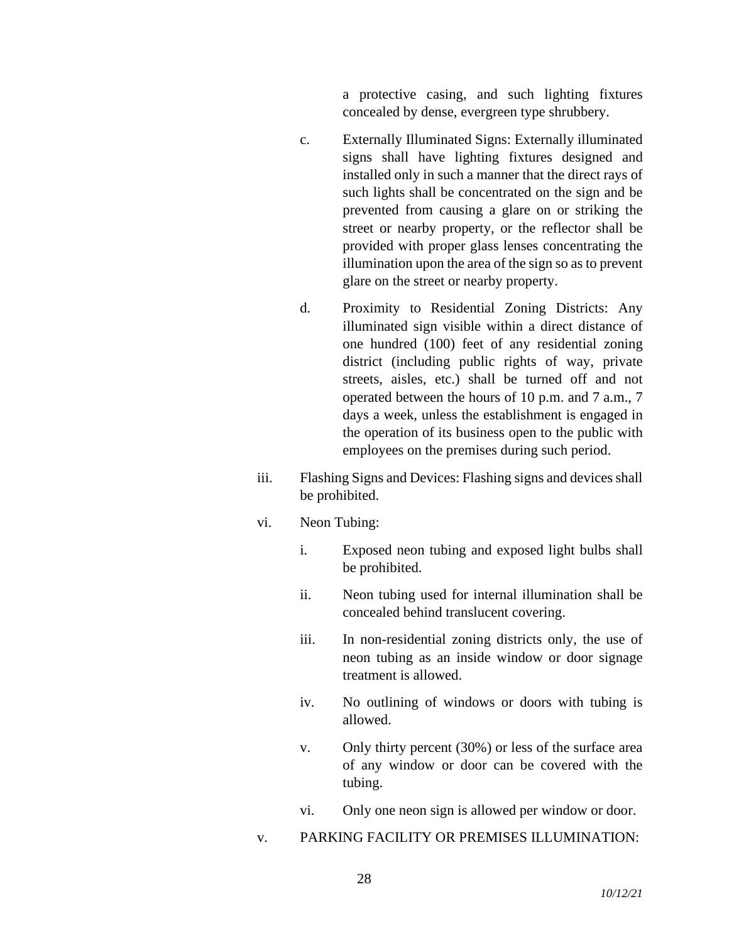a protective casing, and such lighting fixtures concealed by dense, evergreen type shrubbery.

- c. Externally Illuminated Signs: Externally illuminated signs shall have lighting fixtures designed and installed only in such a manner that the direct rays of such lights shall be concentrated on the sign and be prevented from causing a glare on or striking the street or nearby property, or the reflector shall be provided with proper glass lenses concentrating the illumination upon the area of the sign so as to prevent glare on the street or nearby property.
- d. Proximity to Residential Zoning Districts: Any illuminated sign visible within a direct distance of one hundred (100) feet of any residential zoning district (including public rights of way, private streets, aisles, etc.) shall be turned off and not operated between the hours of 10 p.m. and 7 a.m., 7 days a week, unless the establishment is engaged in the operation of its business open to the public with employees on the premises during such period.
- iii. Flashing Signs and Devices: Flashing signs and devices shall be prohibited.
- vi. Neon Tubing:
	- i. Exposed neon tubing and exposed light bulbs shall be prohibited.
	- ii. Neon tubing used for internal illumination shall be concealed behind translucent covering.
	- iii. In non-residential zoning districts only, the use of neon tubing as an inside window or door signage treatment is allowed.
	- iv. No outlining of windows or doors with tubing is allowed.
	- v. Only thirty percent (30%) or less of the surface area of any window or door can be covered with the tubing.
	- vi. Only one neon sign is allowed per window or door.
- v. PARKING FACILITY OR PREMISES ILLUMINATION: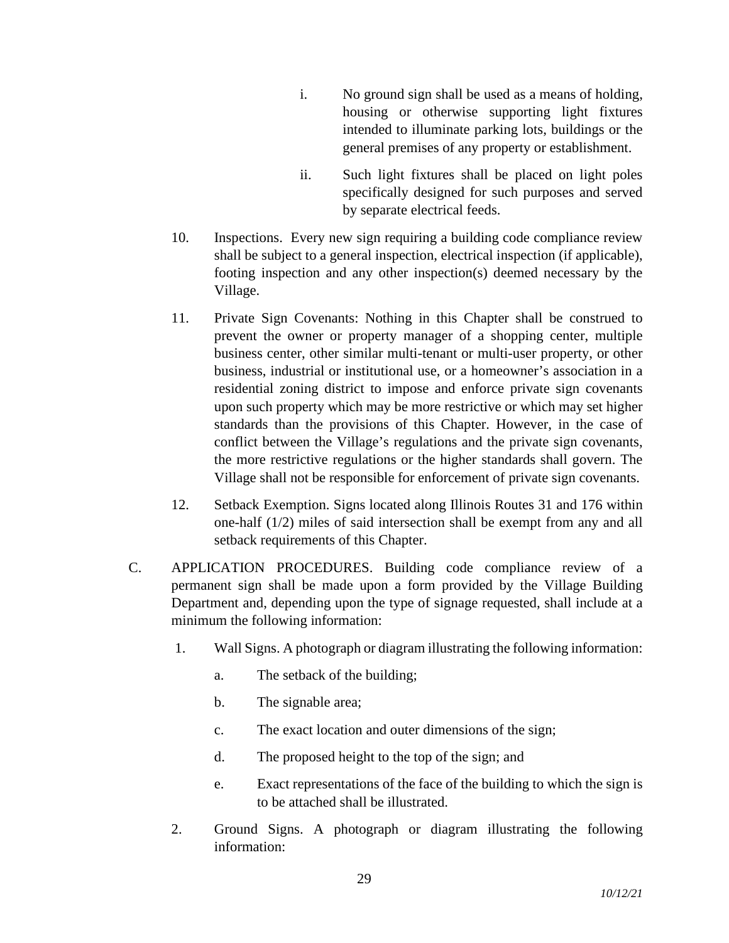- i. No ground sign shall be used as a means of holding, housing or otherwise supporting light fixtures intended to illuminate parking lots, buildings or the general premises of any property or establishment.
- ii. Such light fixtures shall be placed on light poles specifically designed for such purposes and served by separate electrical feeds.
- 10. Inspections. Every new sign requiring a building code compliance review shall be subject to a general inspection, electrical inspection (if applicable), footing inspection and any other inspection(s) deemed necessary by the Village.
- 11. Private Sign Covenants: Nothing in this Chapter shall be construed to prevent the owner or property manager of a shopping center, multiple business center, other similar multi-tenant or multi-user property, or other business, industrial or institutional use, or a homeowner's association in a residential zoning district to impose and enforce private sign covenants upon such property which may be more restrictive or which may set higher standards than the provisions of this Chapter. However, in the case of conflict between the Village's regulations and the private sign covenants, the more restrictive regulations or the higher standards shall govern. The Village shall not be responsible for enforcement of private sign covenants.
- 12. Setback Exemption. Signs located along Illinois Routes 31 and 176 within one-half (1/2) miles of said intersection shall be exempt from any and all setback requirements of this Chapter.
- C. APPLICATION PROCEDURES. Building code compliance review of a permanent sign shall be made upon a form provided by the Village Building Department and, depending upon the type of signage requested, shall include at a minimum the following information:
	- 1. Wall Signs. A photograph or diagram illustrating the following information:
		- a. The setback of the building;
		- b. The signable area;
		- c. The exact location and outer dimensions of the sign;
		- d. The proposed height to the top of the sign; and
		- e. Exact representations of the face of the building to which the sign is to be attached shall be illustrated.
	- 2. Ground Signs. A photograph or diagram illustrating the following information: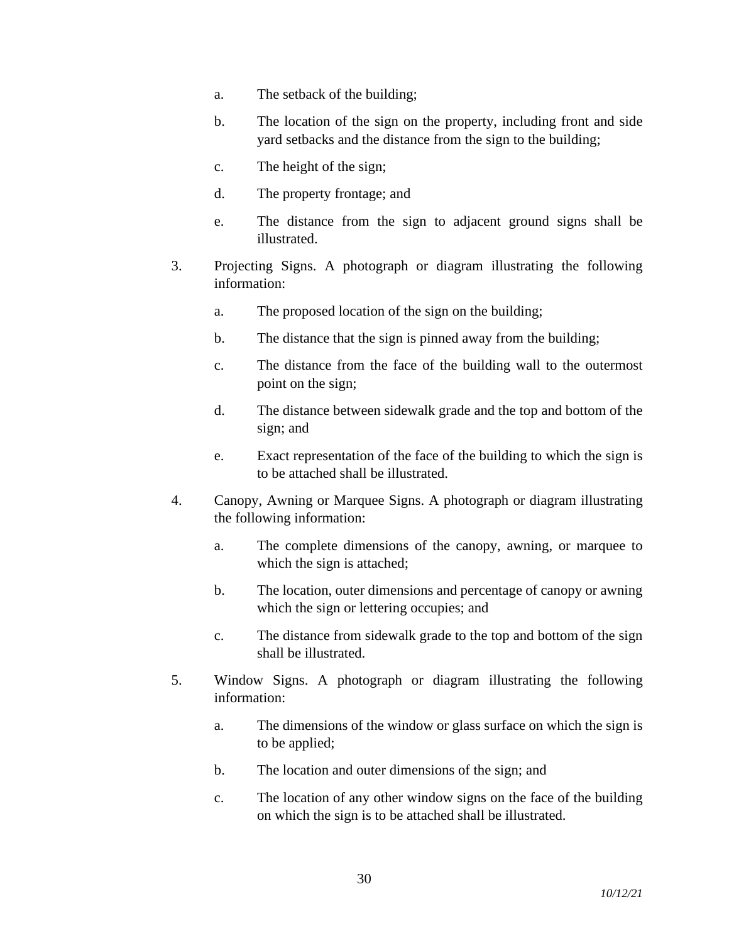- a. The setback of the building;
- b. The location of the sign on the property, including front and side yard setbacks and the distance from the sign to the building;
- c. The height of the sign;
- d. The property frontage; and
- e. The distance from the sign to adjacent ground signs shall be illustrated.
- 3. Projecting Signs. A photograph or diagram illustrating the following information:
	- a. The proposed location of the sign on the building;
	- b. The distance that the sign is pinned away from the building;
	- c. The distance from the face of the building wall to the outermost point on the sign;
	- d. The distance between sidewalk grade and the top and bottom of the sign; and
	- e. Exact representation of the face of the building to which the sign is to be attached shall be illustrated.
- 4. Canopy, Awning or Marquee Signs. A photograph or diagram illustrating the following information:
	- a. The complete dimensions of the canopy, awning, or marquee to which the sign is attached;
	- b. The location, outer dimensions and percentage of canopy or awning which the sign or lettering occupies; and
	- c. The distance from sidewalk grade to the top and bottom of the sign shall be illustrated.
- 5. Window Signs. A photograph or diagram illustrating the following information:
	- a. The dimensions of the window or glass surface on which the sign is to be applied;
	- b. The location and outer dimensions of the sign; and
	- c. The location of any other window signs on the face of the building on which the sign is to be attached shall be illustrated.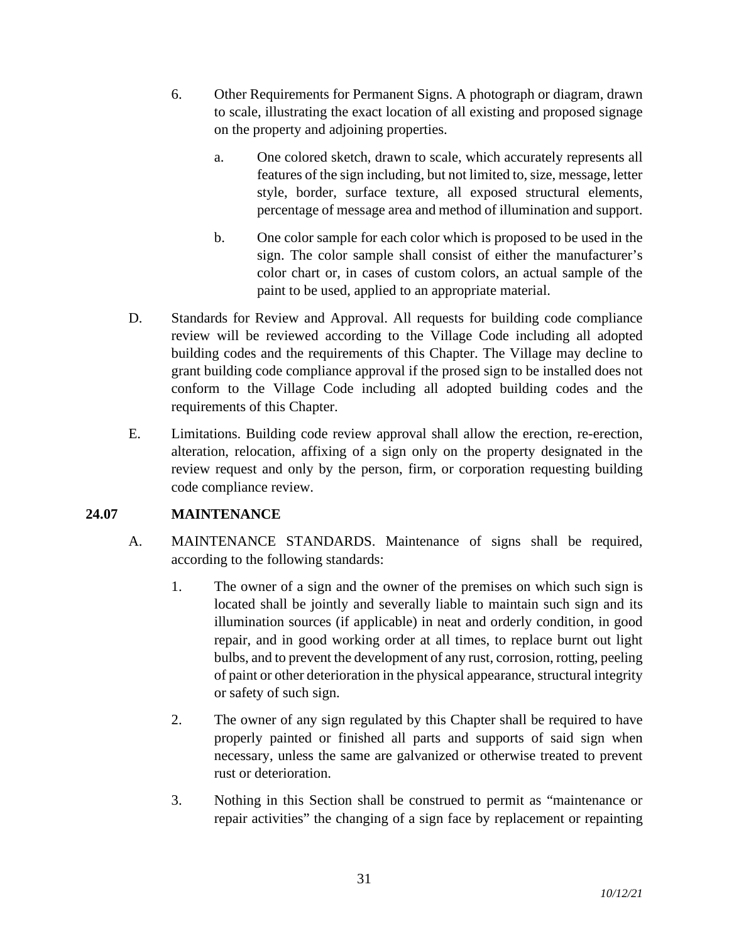- 6. Other Requirements for Permanent Signs. A photograph or diagram, drawn to scale, illustrating the exact location of all existing and proposed signage on the property and adjoining properties.
	- a. One colored sketch, drawn to scale, which accurately represents all features of the sign including, but not limited to, size, message, letter style, border, surface texture, all exposed structural elements, percentage of message area and method of illumination and support.
	- b. One color sample for each color which is proposed to be used in the sign. The color sample shall consist of either the manufacturer's color chart or, in cases of custom colors, an actual sample of the paint to be used, applied to an appropriate material.
- D. Standards for Review and Approval. All requests for building code compliance review will be reviewed according to the Village Code including all adopted building codes and the requirements of this Chapter. The Village may decline to grant building code compliance approval if the prosed sign to be installed does not conform to the Village Code including all adopted building codes and the requirements of this Chapter.
- E. Limitations. Building code review approval shall allow the erection, re-erection, alteration, relocation, affixing of a sign only on the property designated in the review request and only by the person, firm, or corporation requesting building code compliance review.

# **24.07 MAINTENANCE**

- A. MAINTENANCE STANDARDS. Maintenance of signs shall be required, according to the following standards:
	- 1. The owner of a sign and the owner of the premises on which such sign is located shall be jointly and severally liable to maintain such sign and its illumination sources (if applicable) in neat and orderly condition, in good repair, and in good working order at all times, to replace burnt out light bulbs, and to prevent the development of any rust, corrosion, rotting, peeling of paint or other deterioration in the physical appearance, structural integrity or safety of such sign.
	- 2. The owner of any sign regulated by this Chapter shall be required to have properly painted or finished all parts and supports of said sign when necessary, unless the same are galvanized or otherwise treated to prevent rust or deterioration.
	- 3. Nothing in this Section shall be construed to permit as "maintenance or repair activities" the changing of a sign face by replacement or repainting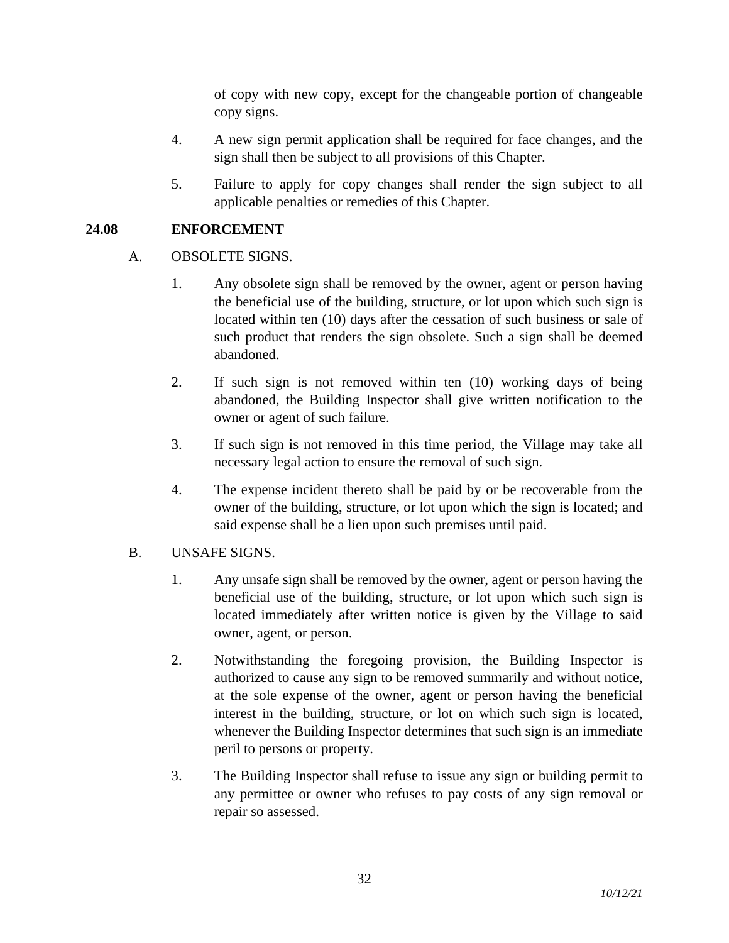of copy with new copy, except for the changeable portion of changeable copy signs.

- 4. A new sign permit application shall be required for face changes, and the sign shall then be subject to all provisions of this Chapter.
- 5. Failure to apply for copy changes shall render the sign subject to all applicable penalties or remedies of this Chapter.

## **24.08 ENFORCEMENT**

- A. OBSOLETE SIGNS.
	- 1. Any obsolete sign shall be removed by the owner, agent or person having the beneficial use of the building, structure, or lot upon which such sign is located within ten (10) days after the cessation of such business or sale of such product that renders the sign obsolete. Such a sign shall be deemed abandoned.
	- 2. If such sign is not removed within ten (10) working days of being abandoned, the Building Inspector shall give written notification to the owner or agent of such failure.
	- 3. If such sign is not removed in this time period, the Village may take all necessary legal action to ensure the removal of such sign.
	- 4. The expense incident thereto shall be paid by or be recoverable from the owner of the building, structure, or lot upon which the sign is located; and said expense shall be a lien upon such premises until paid.

### B. UNSAFE SIGNS.

- 1. Any unsafe sign shall be removed by the owner, agent or person having the beneficial use of the building, structure, or lot upon which such sign is located immediately after written notice is given by the Village to said owner, agent, or person.
- 2. Notwithstanding the foregoing provision, the Building Inspector is authorized to cause any sign to be removed summarily and without notice, at the sole expense of the owner, agent or person having the beneficial interest in the building, structure, or lot on which such sign is located, whenever the Building Inspector determines that such sign is an immediate peril to persons or property.
- 3. The Building Inspector shall refuse to issue any sign or building permit to any permittee or owner who refuses to pay costs of any sign removal or repair so assessed.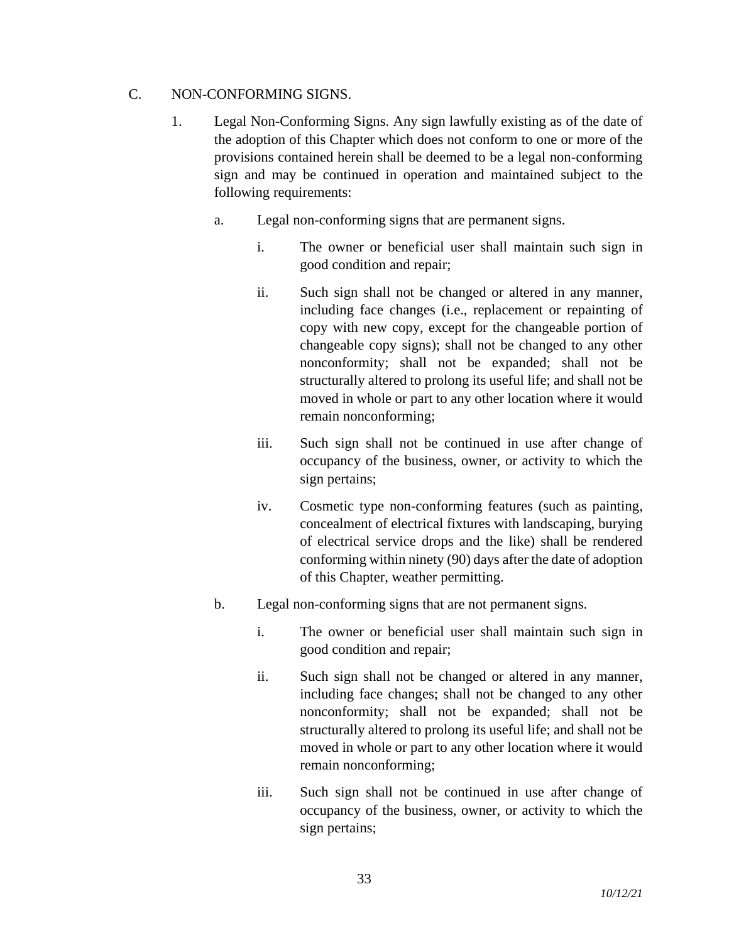## C. NON-CONFORMING SIGNS.

- 1. Legal Non-Conforming Signs. Any sign lawfully existing as of the date of the adoption of this Chapter which does not conform to one or more of the provisions contained herein shall be deemed to be a legal non-conforming sign and may be continued in operation and maintained subject to the following requirements:
	- a. Legal non-conforming signs that are permanent signs.
		- i. The owner or beneficial user shall maintain such sign in good condition and repair;
		- ii. Such sign shall not be changed or altered in any manner, including face changes (i.e., replacement or repainting of copy with new copy, except for the changeable portion of changeable copy signs); shall not be changed to any other nonconformity; shall not be expanded; shall not be structurally altered to prolong its useful life; and shall not be moved in whole or part to any other location where it would remain nonconforming;
		- iii. Such sign shall not be continued in use after change of occupancy of the business, owner, or activity to which the sign pertains;
		- iv. Cosmetic type non-conforming features (such as painting, concealment of electrical fixtures with landscaping, burying of electrical service drops and the like) shall be rendered conforming within ninety (90) days after the date of adoption of this Chapter, weather permitting.
	- b. Legal non-conforming signs that are not permanent signs.
		- i. The owner or beneficial user shall maintain such sign in good condition and repair;
		- ii. Such sign shall not be changed or altered in any manner, including face changes; shall not be changed to any other nonconformity; shall not be expanded; shall not be structurally altered to prolong its useful life; and shall not be moved in whole or part to any other location where it would remain nonconforming;
		- iii. Such sign shall not be continued in use after change of occupancy of the business, owner, or activity to which the sign pertains;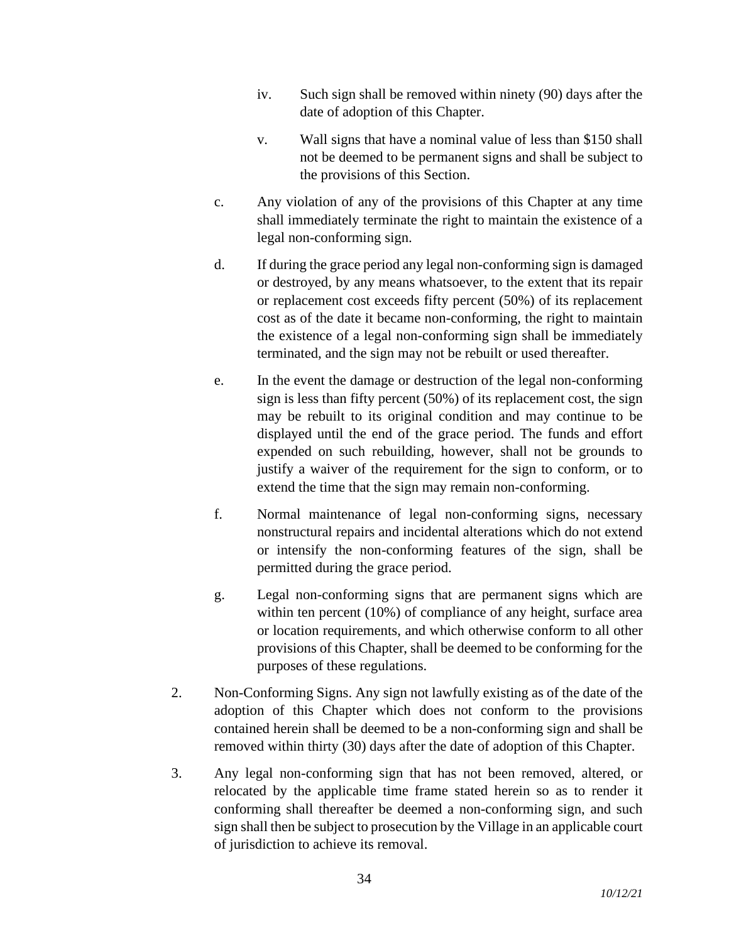- iv. Such sign shall be removed within ninety (90) days after the date of adoption of this Chapter.
- v. Wall signs that have a nominal value of less than \$150 shall not be deemed to be permanent signs and shall be subject to the provisions of this Section.
- c. Any violation of any of the provisions of this Chapter at any time shall immediately terminate the right to maintain the existence of a legal non-conforming sign.
- d. If during the grace period any legal non-conforming sign is damaged or destroyed, by any means whatsoever, to the extent that its repair or replacement cost exceeds fifty percent (50%) of its replacement cost as of the date it became non-conforming, the right to maintain the existence of a legal non-conforming sign shall be immediately terminated, and the sign may not be rebuilt or used thereafter.
- e. In the event the damage or destruction of the legal non-conforming sign is less than fifty percent (50%) of its replacement cost, the sign may be rebuilt to its original condition and may continue to be displayed until the end of the grace period. The funds and effort expended on such rebuilding, however, shall not be grounds to justify a waiver of the requirement for the sign to conform, or to extend the time that the sign may remain non-conforming.
- f. Normal maintenance of legal non-conforming signs, necessary nonstructural repairs and incidental alterations which do not extend or intensify the non-conforming features of the sign, shall be permitted during the grace period.
- g. Legal non-conforming signs that are permanent signs which are within ten percent (10%) of compliance of any height, surface area or location requirements, and which otherwise conform to all other provisions of this Chapter, shall be deemed to be conforming for the purposes of these regulations.
- 2. Non-Conforming Signs. Any sign not lawfully existing as of the date of the adoption of this Chapter which does not conform to the provisions contained herein shall be deemed to be a non-conforming sign and shall be removed within thirty (30) days after the date of adoption of this Chapter.
- 3. Any legal non-conforming sign that has not been removed, altered, or relocated by the applicable time frame stated herein so as to render it conforming shall thereafter be deemed a non-conforming sign, and such sign shall then be subject to prosecution by the Village in an applicable court of jurisdiction to achieve its removal.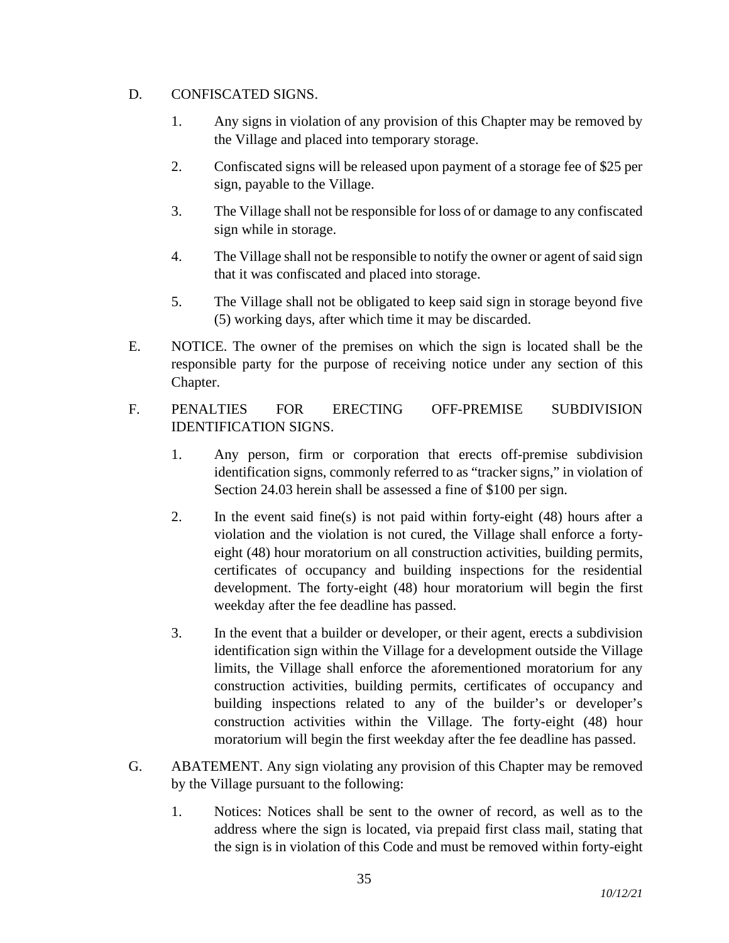### D. CONFISCATED SIGNS.

- 1. Any signs in violation of any provision of this Chapter may be removed by the Village and placed into temporary storage.
- 2. Confiscated signs will be released upon payment of a storage fee of \$25 per sign, payable to the Village.
- 3. The Village shall not be responsible for loss of or damage to any confiscated sign while in storage.
- 4. The Village shall not be responsible to notify the owner or agent of said sign that it was confiscated and placed into storage.
- 5. The Village shall not be obligated to keep said sign in storage beyond five (5) working days, after which time it may be discarded.
- E. NOTICE. The owner of the premises on which the sign is located shall be the responsible party for the purpose of receiving notice under any section of this Chapter.
- F. PENALTIES FOR ERECTING OFF-PREMISE SUBDIVISION IDENTIFICATION SIGNS.
	- 1. Any person, firm or corporation that erects off-premise subdivision identification signs, commonly referred to as "tracker signs," in violation of Section 24.03 herein shall be assessed a fine of \$100 per sign.
	- 2. In the event said fine(s) is not paid within forty-eight (48) hours after a violation and the violation is not cured, the Village shall enforce a fortyeight (48) hour moratorium on all construction activities, building permits, certificates of occupancy and building inspections for the residential development. The forty-eight (48) hour moratorium will begin the first weekday after the fee deadline has passed.
	- 3. In the event that a builder or developer, or their agent, erects a subdivision identification sign within the Village for a development outside the Village limits, the Village shall enforce the aforementioned moratorium for any construction activities, building permits, certificates of occupancy and building inspections related to any of the builder's or developer's construction activities within the Village. The forty-eight (48) hour moratorium will begin the first weekday after the fee deadline has passed.
- G. ABATEMENT. Any sign violating any provision of this Chapter may be removed by the Village pursuant to the following:
	- 1. Notices: Notices shall be sent to the owner of record, as well as to the address where the sign is located, via prepaid first class mail, stating that the sign is in violation of this Code and must be removed within forty-eight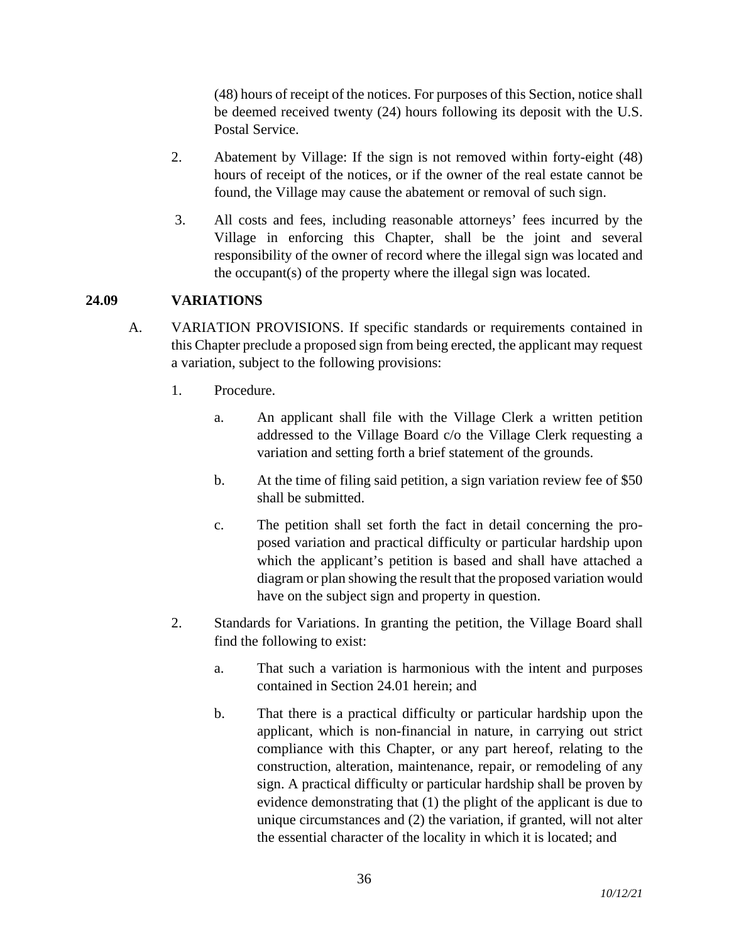(48) hours of receipt of the notices. For purposes of this Section, notice shall be deemed received twenty (24) hours following its deposit with the U.S. Postal Service.

- 2. Abatement by Village: If the sign is not removed within forty-eight (48) hours of receipt of the notices, or if the owner of the real estate cannot be found, the Village may cause the abatement or removal of such sign.
- 3. All costs and fees, including reasonable attorneys' fees incurred by the Village in enforcing this Chapter, shall be the joint and several responsibility of the owner of record where the illegal sign was located and the occupant(s) of the property where the illegal sign was located.

### **24.09 VARIATIONS**

- A. VARIATION PROVISIONS. If specific standards or requirements contained in this Chapter preclude a proposed sign from being erected, the applicant may request a variation, subject to the following provisions:
	- 1. Procedure.
		- a. An applicant shall file with the Village Clerk a written petition addressed to the Village Board c/o the Village Clerk requesting a variation and setting forth a brief statement of the grounds.
		- b. At the time of filing said petition, a sign variation review fee of \$50 shall be submitted.
		- c. The petition shall set forth the fact in detail concerning the proposed variation and practical difficulty or particular hardship upon which the applicant's petition is based and shall have attached a diagram or plan showing the result that the proposed variation would have on the subject sign and property in question.
	- 2. Standards for Variations. In granting the petition, the Village Board shall find the following to exist:
		- a. That such a variation is harmonious with the intent and purposes contained in Section 24.01 herein; and
		- b. That there is a practical difficulty or particular hardship upon the applicant, which is non-financial in nature, in carrying out strict compliance with this Chapter, or any part hereof, relating to the construction, alteration, maintenance, repair, or remodeling of any sign. A practical difficulty or particular hardship shall be proven by evidence demonstrating that (1) the plight of the applicant is due to unique circumstances and (2) the variation, if granted, will not alter the essential character of the locality in which it is located; and